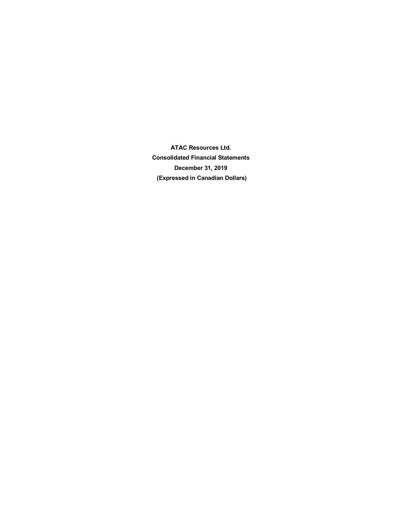**ATAC Resources Ltd. Consolidated Financial Statements December 31, 2019 (Expressed in Canadian Dollars)**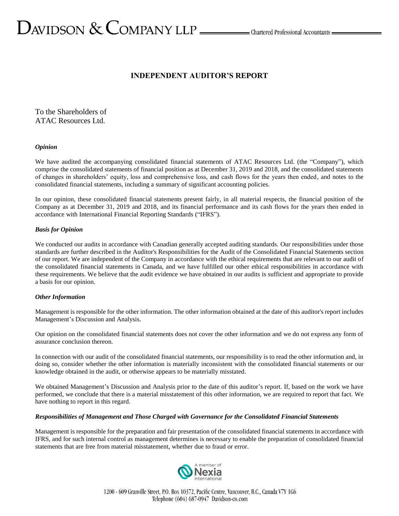# $D_{\text{AVIDSON}} \ \&\ \text{COMPANY LLP} \_\text{\tiny{Lap} \_\text{\tiny{C}}}$ Chartered Professional Accountants  $D_{\text{A}}$

# **INDEPENDENT AUDITOR'S REPORT**

To the Shareholders of ATAC Resources Ltd.

## *Opinion*

We have audited the accompanying consolidated financial statements of ATAC Resources Ltd. (the "Company"), which comprise the consolidated statements of financial position as at December 31, 2019 and 2018, and the consolidated statements of changes in shareholders' equity, loss and comprehensive loss, and cash flows for the years then ended, and notes to the consolidated financial statements, including a summary of significant accounting policies.

In our opinion, these consolidated financial statements present fairly, in all material respects, the financial position of the Company as at December 31, 2019 and 2018, and its financial performance and its cash flows for the years then ended in accordance with International Financial Reporting Standards ("IFRS").

# *Basis for Opinion*

We conducted our audits in accordance with Canadian generally accepted auditing standards. Our responsibilities under those standards are further described in the Auditor's Responsibilities for the Audit of the Consolidated Financial Statements section of our report. We are independent of the Company in accordance with the ethical requirements that are relevant to our audit of the consolidated financial statements in Canada, and we have fulfilled our other ethical responsibilities in accordance with these requirements. We believe that the audit evidence we have obtained in our audits is sufficient and appropriate to provide a basis for our opinion.

## *Other Information*

Management is responsible for the other information. The other information obtained at the date of this auditor's report includes Management's Discussion and Analysis.

Our opinion on the consolidated financial statements does not cover the other information and we do not express any form of assurance conclusion thereon.

In connection with our audit of the consolidated financial statements, our responsibility is to read the other information and, in doing so, consider whether the other information is materially inconsistent with the consolidated financial statements or our knowledge obtained in the audit, or otherwise appears to be materially misstated.

We obtained Management's Discussion and Analysis prior to the date of this auditor's report. If, based on the work we have performed, we conclude that there is a material misstatement of this other information, we are required to report that fact. We have nothing to report in this regard.

## *Responsibilities of Management and Those Charged with Governance for the Consolidated Financial Statements*

Management is responsible for the preparation and fair presentation of the consolidated financial statements in accordance with IFRS, and for such internal control as management determines is necessary to enable the preparation of consolidated financial statements that are free from material misstatement, whether due to fraud or error.

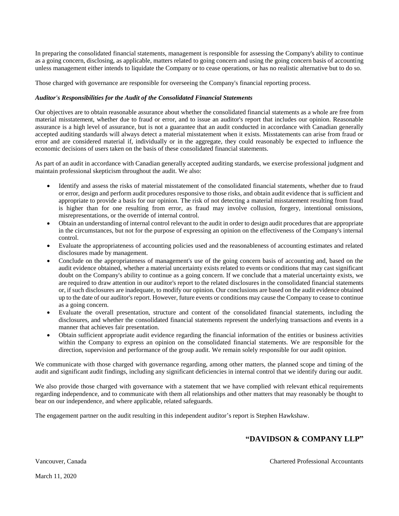In preparing the consolidated financial statements, management is responsible for assessing the Company's ability to continue as a going concern, disclosing, as applicable, matters related to going concern and using the going concern basis of accounting unless management either intends to liquidate the Company or to cease operations, or has no realistic alternative but to do so.

Those charged with governance are responsible for overseeing the Company's financial reporting process.

## *Auditor's Responsibilities for the Audit of the Consolidated Financial Statements*

Our objectives are to obtain reasonable assurance about whether the consolidated financial statements as a whole are free from material misstatement, whether due to fraud or error, and to issue an auditor's report that includes our opinion. Reasonable assurance is a high level of assurance, but is not a guarantee that an audit conducted in accordance with Canadian generally accepted auditing standards will always detect a material misstatement when it exists. Misstatements can arise from fraud or error and are considered material if, individually or in the aggregate, they could reasonably be expected to influence the economic decisions of users taken on the basis of these consolidated financial statements.

As part of an audit in accordance with Canadian generally accepted auditing standards, we exercise professional judgment and maintain professional skepticism throughout the audit. We also:

- Identify and assess the risks of material misstatement of the consolidated financial statements, whether due to fraud or error, design and perform audit procedures responsive to those risks, and obtain audit evidence that is sufficient and appropriate to provide a basis for our opinion. The risk of not detecting a material misstatement resulting from fraud is higher than for one resulting from error, as fraud may involve collusion, forgery, intentional omissions, misrepresentations, or the override of internal control.
- Obtain an understanding of internal control relevant to the audit in order to design audit procedures that are appropriate in the circumstances, but not for the purpose of expressing an opinion on the effectiveness of the Company's internal control.
- Evaluate the appropriateness of accounting policies used and the reasonableness of accounting estimates and related disclosures made by management.
- Conclude on the appropriateness of management's use of the going concern basis of accounting and, based on the audit evidence obtained, whether a material uncertainty exists related to events or conditions that may cast significant doubt on the Company's ability to continue as a going concern. If we conclude that a material uncertainty exists, we are required to draw attention in our auditor's report to the related disclosures in the consolidated financial statements or, if such disclosures are inadequate, to modify our opinion. Our conclusions are based on the audit evidence obtained up to the date of our auditor's report. However, future events or conditions may cause the Company to cease to continue as a going concern.
- Evaluate the overall presentation, structure and content of the consolidated financial statements, including the disclosures, and whether the consolidated financial statements represent the underlying transactions and events in a manner that achieves fair presentation.
- Obtain sufficient appropriate audit evidence regarding the financial information of the entities or business activities within the Company to express an opinion on the consolidated financial statements. We are responsible for the direction, supervision and performance of the group audit. We remain solely responsible for our audit opinion.

We communicate with those charged with governance regarding, among other matters, the planned scope and timing of the audit and significant audit findings, including any significant deficiencies in internal control that we identify during our audit.

We also provide those charged with governance with a statement that we have complied with relevant ethical requirements regarding independence, and to communicate with them all relationships and other matters that may reasonably be thought to bear on our independence, and where applicable, related safeguards.

The engagement partner on the audit resulting in this independent auditor's report is Stephen Hawkshaw.

# **"DAVIDSON & COMPANY LLP"**

March 11, 2020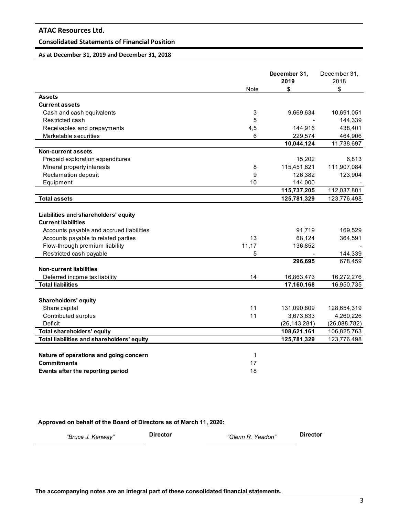## **Consolidated Statements of Financial Position**

# **As at December 31, 2019 and December 31, 2018**

| <b>Note</b>                                                             | December 31,<br>2019<br>\$ | December 31,<br>2018<br>\$ |
|-------------------------------------------------------------------------|----------------------------|----------------------------|
| <b>Assets</b>                                                           |                            |                            |
| <b>Current assets</b>                                                   |                            |                            |
| Cash and cash equivalents<br>3                                          | 9,669,634                  | 10,691,051                 |
| 5<br>Restricted cash                                                    |                            | 144,339                    |
| Receivables and prepayments<br>4,5                                      | 144,916                    | 438,401                    |
| Marketable securities<br>6                                              | 229,574                    | 464,906                    |
|                                                                         | 10,044,124                 | 11,738,697                 |
| <b>Non-current assets</b>                                               |                            |                            |
| Prepaid exploration expenditures                                        | 15,202                     | 6,813                      |
| Mineral property interests<br>8                                         | 115,451,621                | 111,907,084                |
| Reclamation deposit<br>9                                                | 126,382                    | 123,904                    |
| 10<br>Equipment                                                         | 144,000                    |                            |
|                                                                         | 115,737,205                | 112,037,801                |
| <b>Total assets</b>                                                     | 125,781,329                | 123,776,498                |
| Liabilities and shareholders' equity<br><b>Current liabilities</b>      |                            |                            |
| Accounts payable and accrued liabilities                                | 91,719                     | 169,529                    |
| Accounts payable to related parties<br>13                               | 68,124                     | 364,591                    |
| Flow-through premium liability<br>11,17                                 | 136,852                    |                            |
| Restricted cash payable<br>5                                            |                            | 144,339                    |
| <b>Non-current liabilities</b>                                          | 296,695                    | 678,459                    |
| Deferred income tax liability<br>14                                     | 16,863,473                 | 16,272,276                 |
| <b>Total liabilities</b>                                                | 17,160,168                 | 16,950,735                 |
| <b>Shareholders' equity</b>                                             |                            |                            |
| Share capital<br>11                                                     | 131,090,809                | 128,654,319                |
| Contributed surplus<br>11                                               | 3,673,633                  | 4,260,226                  |
| Deficit                                                                 | (26, 143, 281)             | (26,088,782)               |
| <b>Total shareholders' equity</b>                                       | 108,621,161                | 106,825,763                |
| Total liabilities and shareholders' equity                              | 125,781,329                | 123,776,498                |
| Nature of operations and going concern<br>1<br><b>Commitments</b><br>17 |                            |                            |
| Events after the reporting period<br>18                                 |                            |                            |

**Approved on behalf of the Board of Directors as of March 11, 2020:**

*"Bruce J. Kenway"* **Director** *"Glenn R. Yeadon"* **Director**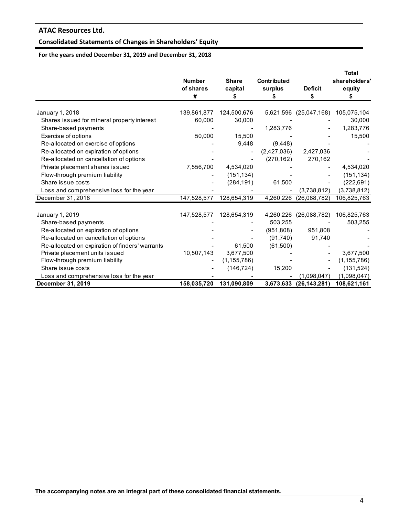# **Consolidated Statements of Changes in Shareholders' Equity**

**For the years ended December 31, 2019 and December 31, 2018**

|                                                 | <b>Number</b><br>of shares<br># | <b>Share</b><br>capital<br>\$ | <b>Contributed</b><br>surplus<br>\$ | <b>Deficit</b><br>\$   | <b>Total</b><br>shareholders'<br>equity<br>S |
|-------------------------------------------------|---------------------------------|-------------------------------|-------------------------------------|------------------------|----------------------------------------------|
| January 1, 2018                                 | 139,861,877                     | 124,500,676                   | 5,621,596                           | (25,047,168)           | 105,075,104                                  |
| Shares issued for mineral property interest     | 60,000                          | 30,000                        |                                     |                        | 30,000                                       |
| Share-based payments                            |                                 |                               | 1,283,776                           |                        | 1,283,776                                    |
| Exercise of options                             | 50,000                          | 15,500                        |                                     |                        | 15,500                                       |
| Re-allocated on exercise of options             |                                 | 9,448                         | (9, 448)                            |                        |                                              |
| Re-allocated on expiration of options           |                                 |                               | (2,427,036)                         | 2,427,036              |                                              |
| Re-allocated on cancellation of options         |                                 |                               | (270, 162)                          | 270,162                |                                              |
| Private placement shares issued                 | 7,556,700                       | 4,534,020                     |                                     |                        | 4,534,020                                    |
| Flow-through premium liability                  |                                 | (151, 134)                    |                                     |                        | (151, 134)                                   |
| Share issue costs                               |                                 | (284, 191)                    | 61,500                              |                        | (222, 691)                                   |
| Loss and comprehensive loss for the year        |                                 |                               |                                     | (3,738,812)            | (3,738,812)                                  |
| December 31, 2018                               | 147,528,577                     | 128,654,319                   | 4,260,226                           | (26,088,782)           | 106,825,763                                  |
|                                                 |                                 |                               |                                     |                        |                                              |
| January 1, 2019                                 | 147,528,577                     | 128,654,319                   |                                     | 4,260,226 (26,088,782) | 106,825,763                                  |
| Share-based payments                            |                                 |                               | 503,255                             |                        | 503,255                                      |
| Re-allocated on expiration of options           |                                 |                               | (951, 808)                          | 951,808                |                                              |
| Re-allocated on cancellation of options         |                                 |                               | (91, 740)                           | 91,740                 |                                              |
| Re-allocated on expiration of finders' warrants |                                 | 61.500                        | (61,500)                            |                        |                                              |
| Private placement units issued                  | 10,507,143                      | 3,677,500                     |                                     |                        | 3,677,500                                    |
| Flow-through premium liability                  |                                 | (1, 155, 786)                 |                                     |                        | (1, 155, 786)                                |
| Share issue costs                               |                                 | (146, 724)                    | 15,200                              |                        | (131, 524)                                   |
| Loss and comprehensive loss for the year        |                                 |                               |                                     | (1,098,047)            | (1,098,047)                                  |
| December 31, 2019                               | 158,035,720                     | 131,090,809                   | 3,673,633                           | (26, 143, 281)         | 108,621,161                                  |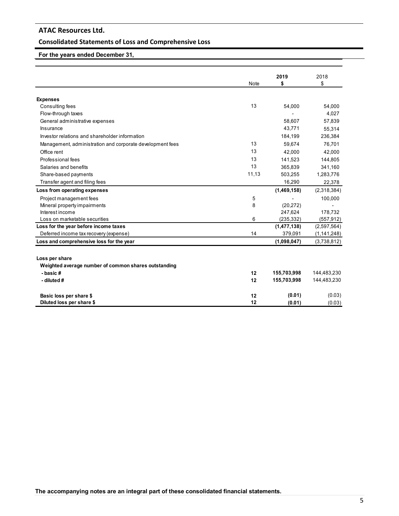# **Consolidated Statements of Loss and Comprehensive Loss**

# **For the years ended December 31,**

|                                                           |       | 2019        | 2018          |
|-----------------------------------------------------------|-------|-------------|---------------|
|                                                           | Note  | \$          | \$            |
|                                                           |       |             |               |
| <b>Expenses</b>                                           |       |             |               |
| Consulting fees                                           | 13    | 54,000      | 54,000        |
| Flow-through taxes                                        |       |             | 4,027         |
| General administrative expenses                           |       | 58,607      | 57,839        |
| Insurance                                                 |       | 43,771      | 55,314        |
| Investor relations and shareholder information            |       | 184,199     | 236,384       |
| Management, administration and corporate development fees | 13    | 59,674      | 76,701        |
| Office rent                                               | 13    | 42,000      | 42,000        |
| Professional fees                                         | 13    | 141,523     | 144,805       |
| Salaries and benefits                                     | 13    | 365,839     | 341,160       |
| Share-based payments                                      | 11,13 | 503,255     | 1,283,776     |
| Transfer agent and filing fees                            |       | 16,290      | 22,378        |
| Loss from operating expenses                              |       | (1,469,158) | (2,318,384)   |
| Project management fees                                   | 5     |             | 100,000       |
| Mineral property impairments                              | 8     | (20, 272)   |               |
| Interest income                                           |       | 247,624     | 178,732       |
| Loss on marketable securities                             | 6     | (235, 332)  | (557, 912)    |
| Loss for the year before income taxes                     |       | (1,477,138) | (2,597,564)   |
| Deferred income tax recovery (expense)                    | 14    | 379,091     | (1, 141, 248) |
| Loss and comprehensive loss for the year                  |       | (1,098,047) | (3,738,812)   |
|                                                           |       |             |               |
| Loss per share                                            |       |             |               |
| Weighted average number of common shares outstanding      |       |             |               |
| - basic#                                                  | 12    | 155,703,998 | 144,483,230   |
| - diluted #                                               | 12    | 155,703,998 | 144,483,230   |
| Basic loss per share \$                                   | 12    | (0.01)      | (0.03)        |
| Diluted loss per share \$                                 | 12    | (0.01)      | (0.03)        |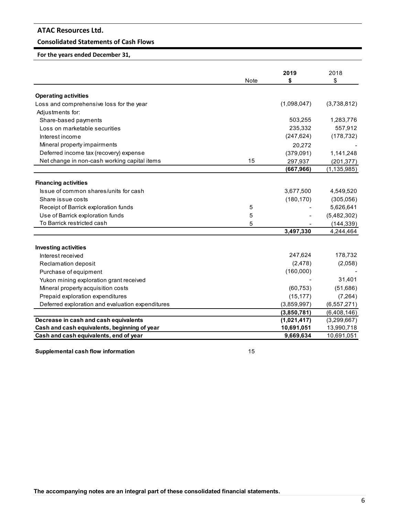# **Consolidated Statements of Cash Flows**

# **For the years ended December 31,**

|                                                  |      | 2019        | 2018          |
|--------------------------------------------------|------|-------------|---------------|
|                                                  | Note | \$          | \$            |
|                                                  |      |             |               |
| <b>Operating activities</b>                      |      |             |               |
| Loss and comprehensive loss for the year         |      | (1,098,047) | (3,738,812)   |
| Adjustments for:                                 |      |             |               |
| Share-based payments                             |      | 503,255     | 1,283,776     |
| Loss on marketable securities                    |      | 235,332     | 557,912       |
| Interest income                                  |      | (247, 624)  | (178, 732)    |
| Mineral property impairments                     |      | 20,272      |               |
| Deferred income tax (recovery) expense           |      | (379,091)   | 1,141,248     |
| Net change in non-cash working capital items     | 15   | 297,937     | (201, 377)    |
|                                                  |      | (667, 966)  | (1, 135, 985) |
|                                                  |      |             |               |
| <b>Financing activities</b>                      |      |             |               |
| Issue of common shares/units for cash            |      | 3,677,500   | 4,549,520     |
| Share issue costs                                |      | (180, 170)  | (305,056)     |
| Receipt of Barrick exploration funds             | 5    |             | 5,626,641     |
| Use of Barrick exploration funds                 | 5    |             | (5,482,302)   |
| To Barrick restricted cash                       | 5    |             | (144, 339)    |
|                                                  |      | 3,497,330   | 4,244,464     |
|                                                  |      |             |               |
| <b>Investing activities</b>                      |      |             |               |
| Interest received                                |      | 247,624     | 178,732       |
| Reclamation deposit                              |      | (2, 478)    | (2,058)       |
| Purchase of equipment                            |      | (160,000)   |               |
| Yukon mining exploration grant received          |      |             | 31,401        |
| Mineral property acquisition costs               |      | (60, 753)   | (51,686)      |
| Prepaid exploration expenditures                 |      | (15, 177)   | (7, 264)      |
| Deferred exploration and evaluation expenditures |      | (3,859,997) | (6, 557, 271) |
|                                                  |      | (3,850,781) | (6,408,146)   |
| Decrease in cash and cash equivalents            |      | (1,021,417) | (3,299,667)   |
| Cash and cash equivalents, beginning of year     |      | 10,691,051  | 13,990,718    |
| Cash and cash equivalents, end of year           |      | 9,669,634   | 10,691,051    |

**Supplemental cash flow information** 15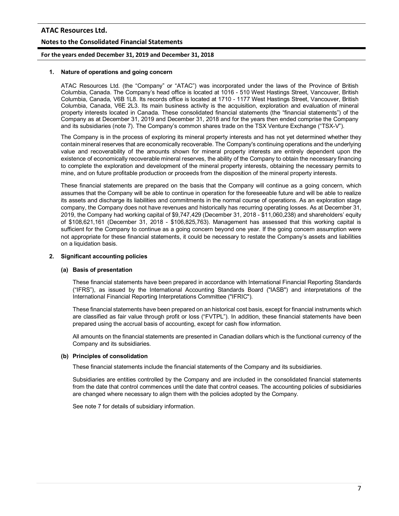## **Notes to the Consolidated Financial Statements**

# **For the years ended December 31, 2019 and December 31, 2018**

## **1. Nature of operations and going concern**

ATAC Resources Ltd. (the "Company" or "ATAC") was incorporated under the laws of the Province of British Columbia, Canada. The Company's head office is located at 1016 - 510 West Hastings Street, Vancouver, British Columbia, Canada, V6B 1L8. Its records office is located at 1710 - 1177 West Hastings Street, Vancouver, British Columbia, Canada, V6E 2L3. Its main business activity is the acquisition, exploration and evaluation of mineral property interests located in Canada. These consolidated financial statements (the "financial statements") of the Company as at December 31, 2019 and December 31, 2018 and for the years then ended comprise the Company and its subsidiaries (note 7). The Company's common shares trade on the TSX Venture Exchange ("TSX-V").

The Company is in the process of exploring its mineral property interests and has not yet determined whether they contain mineral reserves that are economically recoverable. The Company's continuing operations and the underlying value and recoverability of the amounts shown for mineral property interests are entirely dependent upon the existence of economically recoverable mineral reserves, the ability of the Company to obtain the necessary financing to complete the exploration and development of the mineral property interests, obtaining the necessary permits to mine, and on future profitable production or proceeds from the disposition of the mineral property interests.

These financial statements are prepared on the basis that the Company will continue as a going concern, which assumes that the Company will be able to continue in operation for the foreseeable future and will be able to realize its assets and discharge its liabilities and commitments in the normal course of operations. As an exploration stage company, the Company does not have revenues and historically has recurring operating losses. As at December 31, 2019, the Company had working capital of \$9,747,429 (December 31, 2018 - \$11,060,238) and shareholders' equity of \$108,621,161 (December 31, 2018 - \$106,825,763). Management has assessed that this working capital is sufficient for the Company to continue as a going concern beyond one year. If the going concern assumption were not appropriate for these financial statements, it could be necessary to restate the Company's assets and liabilities on a liquidation basis.

## **2. Significant accounting policies**

## **(a) Basis of presentation**

These financial statements have been prepared in accordance with International Financial Reporting Standards ("IFRS"), as issued by the International Accounting Standards Board ("IASB") and interpretations of the International Financial Reporting Interpretations Committee ("IFRIC").

These financial statements have been prepared on an historical cost basis, except for financial instruments which are classified as fair value through profit or loss ("FVTPL"). In addition, these financial statements have been prepared using the accrual basis of accounting, except for cash flow information.

All amounts on the financial statements are presented in Canadian dollars which is the functional currency of the Company and its subsidiaries.

## **(b) Principles of consolidation**

These financial statements include the financial statements of the Company and its subsidiaries.

Subsidiaries are entities controlled by the Company and are included in the consolidated financial statements from the date that control commences until the date that control ceases. The accounting policies of subsidiaries are changed where necessary to align them with the policies adopted by the Company.

See note 7 for details of subsidiary information.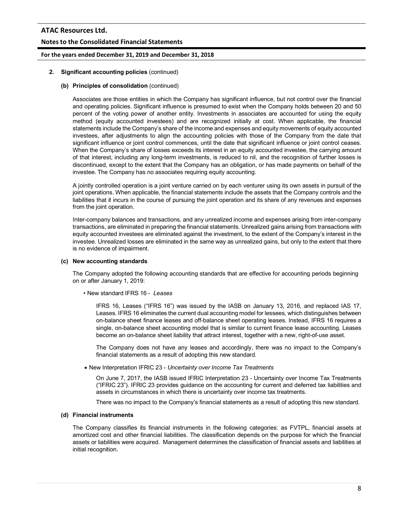## **Notes to the Consolidated Financial Statements**

## **For the years ended December 31, 2019 and December 31, 2018**

## **2. Significant accounting policies** (continued)

## **(b) Principles of consolidation** (continued)

Associates are those entities in which the Company has significant influence, but not control over the financial and operating policies. Significant influence is presumed to exist when the Company holds between 20 and 50 percent of the voting power of another entity. Investments in associates are accounted for using the equity method (equity accounted investees) and are recognized initially at cost. When applicable, the financial statements include the Company's share of the income and expenses and equity movements of equity accounted investees, after adjustments to align the accounting policies with those of the Company from the date that significant influence or joint control commences, until the date that significant influence or joint control ceases. When the Company's share of losses exceeds its interest in an equity accounted investee, the carrying amount of that interest, including any long-term investments, is reduced to nil, and the recognition of further losses is discontinued, except to the extent that the Company has an obligation, or has made payments on behalf of the investee. The Company has no associates requiring equity accounting.

A jointly controlled operation is a joint venture carried on by each venturer using its own assets in pursuit of the joint operations. When applicable, the financial statements include the assets that the Company controls and the liabilities that it incurs in the course of pursuing the joint operation and its share of any revenues and expenses from the joint operation.

Inter-company balances and transactions, and any unrealized income and expenses arising from inter-company transactions, are eliminated in preparing the financial statements. Unrealized gains arising from transactions with equity accounted investees are eliminated against the investment, to the extent of the Company's interest in the investee. Unrealized losses are eliminated in the same way as unrealized gains, but only to the extent that there is no evidence of impairment.

## **(c) New accounting standards**

The Company adopted the following accounting standards that are effective for accounting periods beginning on or after January 1, 2019:

• New standard IFRS 16 - *Leases*

IFRS 16, Leases ("IFRS 16") was issued by the IASB on January 13, 2016, and replaced IAS 17, Leases. IFRS 16 eliminates the current dual accounting model for lessees, which distinguishes between on-balance sheet finance leases and off-balance sheet operating leases. Instead, IFRS 16 requires a single, on-balance sheet accounting model that is similar to current finance lease accounting. Leases become an on-balance sheet liability that attract interest, together with a new, right-of-use asset.

The Company does not have any leases and accordingly, there was no impact to the Company's financial statements as a result of adopting this new standard.

• New Interpretation IFRIC 23 - *Uncertainty over Income Tax Treatments*

On June 7, 2017, the IASB issued IFRIC Interpretation 23 - Uncertainty over Income Tax Treatments ("IFRIC 23"). IFRIC 23 provides guidance on the accounting for current and deferred tax liabilities and assets in circumstances in which there is uncertainty over income tax treatments.

There was no impact to the Company's financial statements as a result of adopting this new standard.

## **(d) Financial instruments**

The Company classifies its financial instruments in the following categories: as FVTPL, financial assets at amortized cost and other financial liabilities. The classification depends on the purpose for which the financial assets or liabilities were acquired. Management determines the classification of financial assets and liabilities at initial recognition.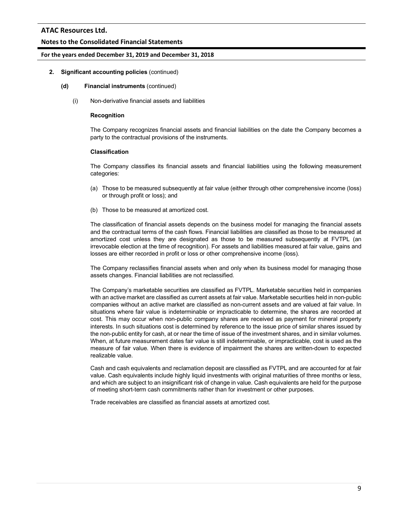## **Notes to the Consolidated Financial Statements**

## **For the years ended December 31, 2019 and December 31, 2018**

## **2. Significant accounting policies** (continued)

- **(d) Financial instruments** (continued)
	- (i) Non-derivative financial assets and liabilities

## **Recognition**

The Company recognizes financial assets and financial liabilities on the date the Company becomes a party to the contractual provisions of the instruments.

#### **Classification**

The Company classifies its financial assets and financial liabilities using the following measurement categories:

- (a) Those to be measured subsequently at fair value (either through other comprehensive income (loss) or through profit or loss); and
- (b) Those to be measured at amortized cost.

The classification of financial assets depends on the business model for managing the financial assets and the contractual terms of the cash flows. Financial liabilities are classified as those to be measured at amortized cost unless they are designated as those to be measured subsequently at FVTPL (an irrevocable election at the time of recognition). For assets and liabilities measured at fair value, gains and losses are either recorded in profit or loss or other comprehensive income (loss).

The Company reclassifies financial assets when and only when its business model for managing those assets changes. Financial liabilities are not reclassified.

The Company's marketable securities are classified as FVTPL. Marketable securities held in companies with an active market are classified as current assets at fair value. Marketable securities held in non-public companies without an active market are classified as non-current assets and are valued at fair value. In situations where fair value is indeterminable or impracticable to determine, the shares are recorded at cost. This may occur when non-public company shares are received as payment for mineral property interests. In such situations cost is determined by reference to the issue price of similar shares issued by the non-public entity for cash, at or near the time of issue of the investment shares, and in similar volumes. When, at future measurement dates fair value is still indeterminable, or impracticable, cost is used as the measure of fair value. When there is evidence of impairment the shares are written-down to expected realizable value.

Cash and cash equivalents and reclamation deposit are classified as FVTPL and are accounted for at fair value. Cash equivalents include highly liquid investments with original maturities of three months or less, and which are subject to an insignificant risk of change in value. Cash equivalents are held for the purpose of meeting short-term cash commitments rather than for investment or other purposes.

Trade receivables are classified as financial assets at amortized cost.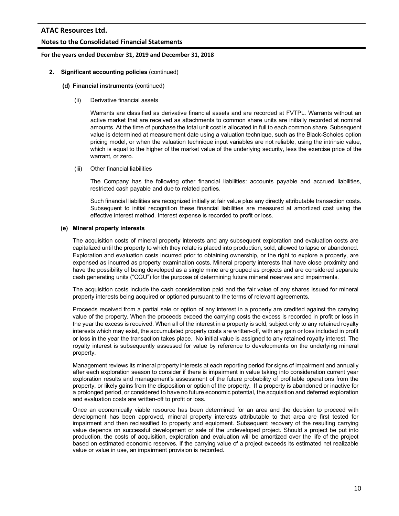## **Notes to the Consolidated Financial Statements**

# **For the years ended December 31, 2019 and December 31, 2018**

## **2. Significant accounting policies** (continued)

## **(d) Financial instruments** (continued)

(ii) Derivative financial assets

Warrants are classified as derivative financial assets and are recorded at FVTPL. Warrants without an active market that are received as attachments to common share units are initially recorded at nominal amounts. At the time of purchase the total unit cost is allocated in full to each common share. Subsequent value is determined at measurement date using a valuation technique, such as the Black-Scholes option pricing model, or when the valuation technique input variables are not reliable, using the intrinsic value, which is equal to the higher of the market value of the underlying security, less the exercise price of the warrant, or zero.

(iii) Other financial liabilities

The Company has the following other financial liabilities: accounts payable and accrued liabilities, restricted cash payable and due to related parties.

Such financial liabilities are recognized initially at fair value plus any directly attributable transaction costs. Subsequent to initial recognition these financial liabilities are measured at amortized cost using the effective interest method. Interest expense is recorded to profit or loss.

## **(e) Mineral property interests**

The acquisition costs of mineral property interests and any subsequent exploration and evaluation costs are capitalized until the property to which they relate is placed into production, sold, allowed to lapse or abandoned. Exploration and evaluation costs incurred prior to obtaining ownership, or the right to explore a property, are expensed as incurred as property examination costs. Mineral property interests that have close proximity and have the possibility of being developed as a single mine are grouped as projects and are considered separate cash generating units ("CGU") for the purpose of determining future mineral reserves and impairments.

The acquisition costs include the cash consideration paid and the fair value of any shares issued for mineral property interests being acquired or optioned pursuant to the terms of relevant agreements.

Proceeds received from a partial sale or option of any interest in a property are credited against the carrying value of the property. When the proceeds exceed the carrying costs the excess is recorded in profit or loss in the year the excess is received. When all of the interest in a property is sold, subject only to any retained royalty interests which may exist, the accumulated property costs are written-off, with any gain or loss included in profit or loss in the year the transaction takes place. No initial value is assigned to any retained royalty interest. The royalty interest is subsequently assessed for value by reference to developments on the underlying mineral property.

Management reviews its mineral property interests at each reporting period for signs of impairment and annually after each exploration season to consider if there is impairment in value taking into consideration current year exploration results and management's assessment of the future probability of profitable operations from the property, or likely gains from the disposition or option of the property. If a property is abandoned or inactive for a prolonged period, or considered to have no future economic potential, the acquisition and deferred exploration and evaluation costs are written-off to profit or loss.

Once an economically viable resource has been determined for an area and the decision to proceed with development has been approved, mineral property interests attributable to that area are first tested for impairment and then reclassified to property and equipment. Subsequent recovery of the resulting carrying value depends on successful development or sale of the undeveloped project. Should a project be put into production, the costs of acquisition, exploration and evaluation will be amortized over the life of the project based on estimated economic reserves. If the carrying value of a project exceeds its estimated net realizable value or value in use, an impairment provision is recorded.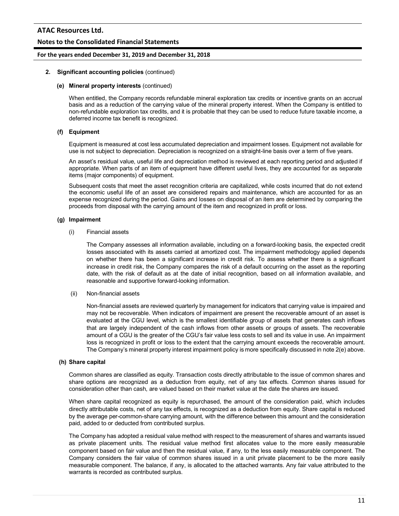## **Notes to the Consolidated Financial Statements**

## **For the years ended December 31, 2019 and December 31, 2018**

## **2. Significant accounting policies** (continued)

#### **(e) Mineral property interests** (continued)

When entitled, the Company records refundable mineral exploration tax credits or incentive grants on an accrual basis and as a reduction of the carrying value of the mineral property interest. When the Company is entitled to non-refundable exploration tax credits, and it is probable that they can be used to reduce future taxable income, a deferred income tax benefit is recognized.

## **(f) Equipment**

Equipment is measured at cost less accumulated depreciation and impairment losses. Equipment not available for use is not subject to depreciation. Depreciation is recognized on a straight-line basis over a term of five years.

An asset's residual value, useful life and depreciation method is reviewed at each reporting period and adjusted if appropriate. When parts of an item of equipment have different useful lives, they are accounted for as separate items (major components) of equipment.

Subsequent costs that meet the asset recognition criteria are capitalized, while costs incurred that do not extend the economic useful life of an asset are considered repairs and maintenance, which are accounted for as an expense recognized during the period. Gains and losses on disposal of an item are determined by comparing the proceeds from disposal with the carrying amount of the item and recognized in profit or loss.

#### **(g) Impairment**

(i) Financial assets

The Company assesses all information available, including on a forward-looking basis, the expected credit losses associated with its assets carried at amortized cost. The impairment methodology applied depends on whether there has been a significant increase in credit risk. To assess whether there is a significant increase in credit risk, the Company compares the risk of a default occurring on the asset as the reporting date, with the risk of default as at the date of initial recognition, based on all information available, and reasonable and supportive forward-looking information.

#### (ii) Non-financial assets

Non-financial assets are reviewed quarterly by management for indicators that carrying value is impaired and may not be recoverable. When indicators of impairment are present the recoverable amount of an asset is evaluated at the CGU level, which is the smallest identifiable group of assets that generates cash inflows that are largely independent of the cash inflows from other assets or groups of assets. The recoverable amount of a CGU is the greater of the CGU's fair value less costs to sell and its value in use. An impairment loss is recognized in profit or loss to the extent that the carrying amount exceeds the recoverable amount. The Company's mineral property interest impairment policy is more specifically discussed in note 2(e) above.

### **(h) Share capital**

Common shares are classified as equity. Transaction costs directly attributable to the issue of common shares and share options are recognized as a deduction from equity, net of any tax effects. Common shares issued for consideration other than cash, are valued based on their market value at the date the shares are issued.

When share capital recognized as equity is repurchased, the amount of the consideration paid, which includes directly attributable costs, net of any tax effects, is recognized as a deduction from equity. Share capital is reduced by the average per-common-share carrying amount, with the difference between this amount and the consideration paid, added to or deducted from contributed surplus.

The Company has adopted a residual value method with respect to the measurement of shares and warrants issued as private placement units. The residual value method first allocates value to the more easily measurable component based on fair value and then the residual value, if any, to the less easily measurable component. The Company considers the fair value of common shares issued in a unit private placement to be the more easily measurable component. The balance, if any, is allocated to the attached warrants. Any fair value attributed to the warrants is recorded as contributed surplus.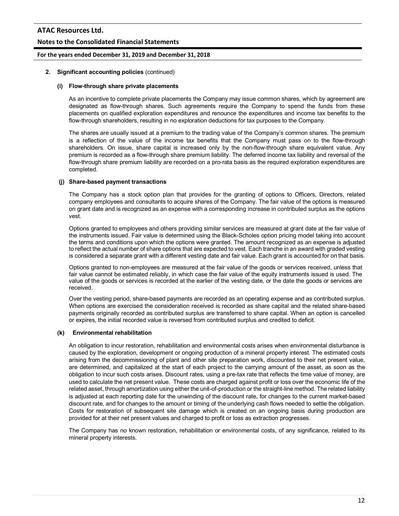## **Notes to the Consolidated Financial Statements**

## **For the years ended December 31, 2019 and December 31, 2018**

## **2. Significant accounting policies** (continued)

## **(i) Flow-through share private placements**

As an incentive to complete private placements the Company may issue common shares, which by agreement are designated as flow-through shares. Such agreements require the Company to spend the funds from these placements on qualified exploration expenditures and renounce the expenditures and income tax benefits to the flow-through shareholders, resulting in no exploration deductions for tax purposes to the Company.

The shares are usually issued at a premium to the trading value of the Company's common shares. The premium is a reflection of the value of the income tax benefits that the Company must pass on to the flow-through shareholders. On issue, share capital is increased only by the non-flow-through share equivalent value. Any premium is recorded as a flow-through share premium liability. The deferred income tax liability and reversal of the flow-through share premium liability are recorded on a pro-rata basis as the required exploration expenditures are completed.

## **(j) Share-based payment transactions**

The Company has a stock option plan that provides for the granting of options to Officers, Directors, related company employees and consultants to acquire shares of the Company. The fair value of the options is measured on grant date and is recognized as an expense with a corresponding increase in contributed surplus as the options vest.

Options granted to employees and others providing similar services are measured at grant date at the fair value of the instruments issued. Fair value is determined using the Black-Scholes option pricing model taking into account the terms and conditions upon which the options were granted. The amount recognized as an expense is adjusted to reflect the actual number of share options that are expected to vest. Each tranche in an award with graded vesting is considered a separate grant with a different vesting date and fair value. Each grant is accounted for on that basis.

Options granted to non-employees are measured at the fair value of the goods or services received, unless that fair value cannot be estimated reliably, in which case the fair value of the equity instruments issued is used. The value of the goods or services is recorded at the earlier of the vesting date, or the date the goods or services are received.

Over the vesting period, share-based payments are recorded as an operating expense and as contributed surplus. When options are exercised the consideration received is recorded as share capital and the related share-based payments originally recorded as contributed surplus are transferred to share capital. When an option is cancelled or expires, the initial recorded value is reversed from contributed surplus and credited to deficit.

## **(k) Environmental rehabilitation**

An obligation to incur restoration, rehabilitation and environmental costs arises when environmental disturbance is caused by the exploration, development or ongoing production of a mineral property interest. The estimated costs arising from the decommissioning of plant and other site preparation work, discounted to their net present value, are determined, and capitalized at the start of each project to the carrying amount of the asset, as soon as the obligation to incur such costs arises. Discount rates, using a pre-tax rate that reflects the time value of money, are used to calculate the net present value. These costs are charged against profit or loss over the economic life of the related asset, through amortization using either the unit-of-production or the straight-line method. The related liability is adjusted at each reporting date for the unwinding of the discount rate, for changes to the current market-based discount rate, and for changes to the amount or timing of the underlying cash flows needed to settle the obligation. Costs for restoration of subsequent site damage which is created on an ongoing basis during production are provided for at their net present values and charged to profit or loss as extraction progresses.

The Company has no known restoration, rehabilitation or environmental costs, of any significance, related to its mineral property interests.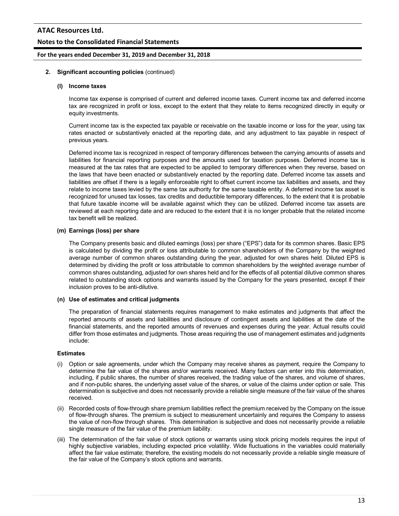## **Notes to the Consolidated Financial Statements**

## **For the years ended December 31, 2019 and December 31, 2018**

## **2. Significant accounting policies** (continued)

## **(l) Income taxes**

Income tax expense is comprised of current and deferred income taxes. Current income tax and deferred income tax are recognized in profit or loss, except to the extent that they relate to items recognized directly in equity or equity investments.

Current income tax is the expected tax payable or receivable on the taxable income or loss for the year, using tax rates enacted or substantively enacted at the reporting date, and any adjustment to tax payable in respect of previous years.

Deferred income tax is recognized in respect of temporary differences between the carrying amounts of assets and liabilities for financial reporting purposes and the amounts used for taxation purposes. Deferred income tax is measured at the tax rates that are expected to be applied to temporary differences when they reverse, based on the laws that have been enacted or substantively enacted by the reporting date. Deferred income tax assets and liabilities are offset if there is a legally enforceable right to offset current income tax liabilities and assets, and they relate to income taxes levied by the same tax authority for the same taxable entity. A deferred income tax asset is recognized for unused tax losses, tax credits and deductible temporary differences, to the extent that it is probable that future taxable income will be available against which they can be utilized. Deferred income tax assets are reviewed at each reporting date and are reduced to the extent that it is no longer probable that the related income tax benefit will be realized.

## **(m) Earnings (loss) per share**

The Company presents basic and diluted earnings (loss) per share ("EPS") data for its common shares. Basic EPS is calculated by dividing the profit or loss attributable to common shareholders of the Company by the weighted average number of common shares outstanding during the year, adjusted for own shares held. Diluted EPS is determined by dividing the profit or loss attributable to common shareholders by the weighted average number of common shares outstanding, adjusted for own shares held and for the effects of all potential dilutive common shares related to outstanding stock options and warrants issued by the Company for the years presented, except if their inclusion proves to be anti-dilutive.

## **(n) Use of estimates and critical judgments**

The preparation of financial statements requires management to make estimates and judgments that affect the reported amounts of assets and liabilities and disclosure of contingent assets and liabilities at the date of the financial statements, and the reported amounts of revenues and expenses during the year. Actual results could differ from those estimates and judgments. Those areas requiring the use of management estimates and judgments include:

## **Estimates**

- (i) Option or sale agreements, under which the Company may receive shares as payment, require the Company to determine the fair value of the shares and/or warrants received. Many factors can enter into this determination, including, if public shares, the number of shares received, the trading value of the shares, and volume of shares, and if non-public shares, the underlying asset value of the shares, or value of the claims under option or sale. This determination is subjective and does not necessarily provide a reliable single measure of the fair value of the shares received.
- (ii) Recorded costs of flow-through share premium liabilities reflect the premium received by the Company on the issue of flow-through shares. The premium is subject to measurement uncertainly and requires the Company to assess the value of non-flow through shares. This determination is subjective and does not necessarily provide a reliable single measure of the fair value of the premium liability.
- (iii) The determination of the fair value of stock options or warrants using stock pricing models requires the input of highly subjective variables, including expected price volatility. Wide fluctuations in the variables could materially affect the fair value estimate; therefore, the existing models do not necessarily provide a reliable single measure of the fair value of the Company's stock options and warrants.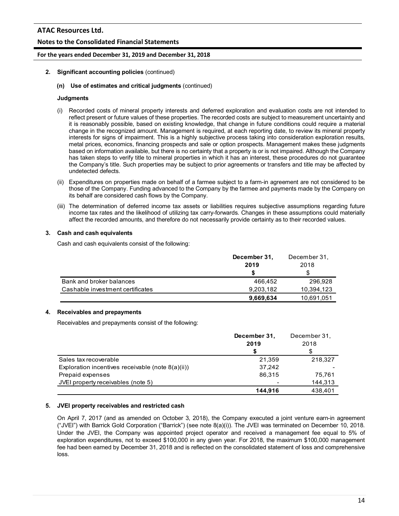## **Notes to the Consolidated Financial Statements**

## **For the years ended December 31, 2019 and December 31, 2018**

- **2. Significant accounting policies** (continued)
	- **(n) Use of estimates and critical judgments** (continued)

## **Judgments**

- (i) Recorded costs of mineral property interests and deferred exploration and evaluation costs are not intended to reflect present or future values of these properties. The recorded costs are subject to measurement uncertainty and it is reasonably possible, based on existing knowledge, that change in future conditions could require a material change in the recognized amount. Management is required, at each reporting date, to review its mineral property interests for signs of impairment. This is a highly subjective process taking into consideration exploration results, metal prices, economics, financing prospects and sale or option prospects. Management makes these judgments based on information available, but there is no certainty that a property is or is not impaired. Although the Company has taken steps to verify title to mineral properties in which it has an interest, these procedures do not guarantee the Company's title. Such properties may be subject to prior agreements or transfers and title may be affected by undetected defects.
- (ii) Expenditures on properties made on behalf of a farmee subject to a farm-in agreement are not considered to be those of the Company. Funding advanced to the Company by the farmee and payments made by the Company on its behalf are considered cash flows by the Company.
- (iii) The determination of deferred income tax assets or liabilities requires subjective assumptions regarding future income tax rates and the likelihood of utilizing tax carry-forwards. Changes in these assumptions could materially affect the recorded amounts, and therefore do not necessarily provide certainty as to their recorded values.

# **3. Cash and cash equivalents**

Cash and cash equivalents consist of the following:

|                                  | December 31, | December 31, |
|----------------------------------|--------------|--------------|
|                                  | 2019         | 2018         |
|                                  |              |              |
| Bank and broker balances         | 466.452      | 296.928      |
| Cashable investment certificates | 9.203.182    | 10,394,123   |
|                                  | 9,669,634    | 10,691,051   |

# **4. Receivables and prepayments**

Receivables and prepayments consist of the following:

|                                                      | December 31,<br>2019 | December 31.<br>2018 |
|------------------------------------------------------|----------------------|----------------------|
|                                                      | S                    |                      |
| Sales tax recoverable                                | 21.359               | 218.327              |
| Exploration incentives receivable (note $8(a)(ii)$ ) | 37,242               |                      |
| Prepaid expenses                                     | 86,315               | 75.761               |
| JVEI property receivables (note 5)                   |                      | 144.313              |
|                                                      | 144.916              | 438,401              |

# **5. JVEI property receivables and restricted cash**

On April 7, 2017 (and as amended on October 3, 2018), the Company executed a joint venture earn-in agreement ("JVEI") with Barrick Gold Corporation ("Barrick") (see note 8(a)(i)). The JVEI was terminated on December 10, 2018. Under the JVEI, the Company was appointed project operator and received a management fee equal to 5% of exploration expenditures, not to exceed \$100,000 in any given year. For 2018, the maximum \$100,000 management fee had been earned by December 31, 2018 and is reflected on the consolidated statement of loss and comprehensive loss.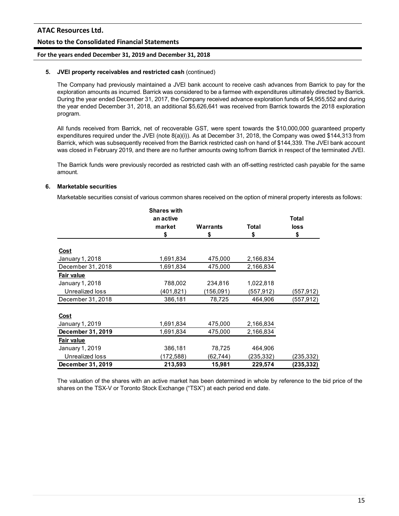## **Notes to the Consolidated Financial Statements**

## **For the years ended December 31, 2019 and December 31, 2018**

## **5. JVEI property receivables and restricted cash** (continued)

The Company had previously maintained a JVEI bank account to receive cash advances from Barrick to pay for the exploration amounts as incurred. Barrick was considered to be a farmee with expenditures ultimately directed by Barrick. During the year ended December 31, 2017, the Company received advance exploration funds of \$4,955,552 and during the year ended December 31, 2018, an additional \$5,626,641 was received from Barrick towards the 2018 exploration program.

All funds received from Barrick, net of recoverable GST, were spent towards the \$10,000,000 guaranteed property expenditures required under the JVEI (note 8(a)(i)). As at December 31, 2018, the Company was owed \$144,313 from Barrick, which was subsequently received from the Barrick restricted cash on hand of \$144,339. The JVEI bank account was closed in February 2019, and there are no further amounts owing to/from Barrick in respect of the terminated JVEI.

The Barrick funds were previously recorded as restricted cash with an off-setting restricted cash payable for the same amount.

## **6. Marketable securities**

Marketable securities consist of various common shares received on the option of mineral property interests as follows:

|                   | <b>Shares with</b> |                 |           |            |
|-------------------|--------------------|-----------------|-----------|------------|
|                   | an active          |                 |           | Total      |
|                   | market             | <b>Warrants</b> | Total     | loss       |
|                   | \$                 | \$              | \$        | \$         |
| <u>Cost</u>       |                    |                 |           |            |
| January 1, 2018   | 1,691,834          | 475,000         | 2,166,834 |            |
| December 31, 2018 | 1,691,834          | 475,000         | 2,166,834 |            |
| Fair value        |                    |                 |           |            |
| January 1, 2018   | 788,002            | 234,816         | 1,022,818 |            |
| Unrealized loss   | (401, 821)         | (156,091)       | (557,912) | (557, 912) |
| December 31, 2018 | 386,181            | 78,725          | 464,906   | (557,912)  |
| Cost              |                    |                 |           |            |
| January 1, 2019   | 1,691,834          | 475,000         | 2,166,834 |            |
| December 31, 2019 | 1,691,834          | 475,000         | 2,166,834 |            |
| Fair value        |                    |                 |           |            |
| January 1, 2019   | 386,181            | 78,725          | 464,906   |            |
| Unrealized loss   | (172,588)          | (62,744)        | (235,332) | (235,332)  |
| December 31, 2019 | 213,593            | 15,981          | 229,574   | (235, 332) |

The valuation of the shares with an active market has been determined in whole by reference to the bid price of the shares on the TSX-V or Toronto Stock Exchange ("TSX") at each period end date.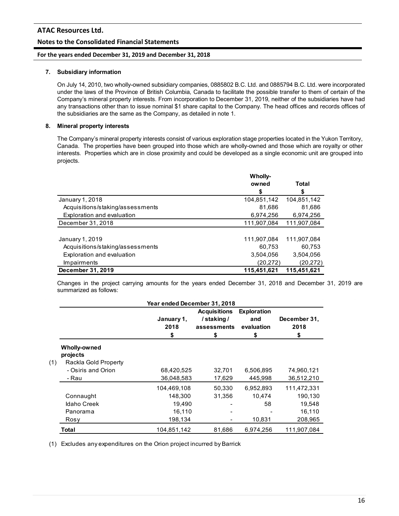## **Notes to the Consolidated Financial Statements**

## **For the years ended December 31, 2019 and December 31, 2018**

## **7. Subsidiary information**

On July 14, 2010, two wholly-owned subsidiary companies, 0885802 B.C. Ltd. and 0885794 B.C. Ltd. were incorporated under the laws of the Province of British Columbia, Canada to facilitate the possible transfer to them of certain of the Company's mineral property interests. From incorporation to December 31, 2019, neither of the subsidiaries have had any transactions other than to issue nominal \$1 share capital to the Company. The head offices and records offices of the subsidiaries are the same as the Company, as detailed in note 1.

## **8. Mineral property interests**

The Company's mineral property interests consist of various exploration stage properties located in the Yukon Territory, Canada. The properties have been grouped into those which are wholly-owned and those which are royalty or other interests. Properties which are in close proximity and could be developed as a single economic unit are grouped into projects.

|                                  | Wholly-     |             |
|----------------------------------|-------------|-------------|
|                                  | owned       | Total       |
|                                  | S           | \$          |
| January 1, 2018                  | 104,851,142 | 104.851.142 |
| Acquisitions/staking/assessments | 81.686      | 81,686      |
| Exploration and evaluation       | 6,974,256   | 6,974,256   |
| December 31, 2018                | 111,907,084 | 111,907,084 |
|                                  |             |             |
| January 1, 2019                  | 111,907,084 | 111,907,084 |
| Acquisitions/staking/assessments | 60.753      | 60.753      |
| Exploration and evaluation       | 3,504,056   | 3,504,056   |
| Impairments                      | (20,272)    | (20, 272)   |
| December 31, 2019                | 115,451,621 | 115,451,621 |

Changes in the project carrying amounts for the years ended December 31, 2018 and December 31, 2019 are summarized as follows:

|     | Year ended December 31, 2018    |                    |                                                 |                                         |                      |  |  |
|-----|---------------------------------|--------------------|-------------------------------------------------|-----------------------------------------|----------------------|--|--|
|     |                                 | January 1,<br>2018 | <b>Acquisitions</b><br>/staking/<br>assessments | <b>Exploration</b><br>and<br>evaluation | December 31,<br>2018 |  |  |
|     |                                 | \$                 | S                                               | \$                                      | \$                   |  |  |
|     | <b>Wholly-owned</b><br>projects |                    |                                                 |                                         |                      |  |  |
| (1) | Rackla Gold Property            |                    |                                                 |                                         |                      |  |  |
|     | - Osiris and Orion              | 68,420,525         | 32,701                                          | 6,506,895                               | 74,960,121           |  |  |
|     | - Rau                           | 36.048.583         | 17,629                                          | 445.998                                 | 36,512,210           |  |  |
|     |                                 | 104,469,108        | 50,330                                          | 6,952,893                               | 111,472,331          |  |  |
|     | Connaught                       | 148.300            | 31,356                                          | 10,474                                  | 190,130              |  |  |
|     | Idaho Creek                     | 19,490             |                                                 | 58                                      | 19,548               |  |  |
|     | Panorama                        | 16,110             |                                                 |                                         | 16.110               |  |  |
|     | Rosy                            | 198.134            |                                                 | 10,831                                  | 208,965              |  |  |
|     | <b>Total</b>                    | 104,851,142        | 81,686                                          | 6.974.256                               | 111,907,084          |  |  |

(1) Excludes any expenditures on the Orion project incurred by Barrick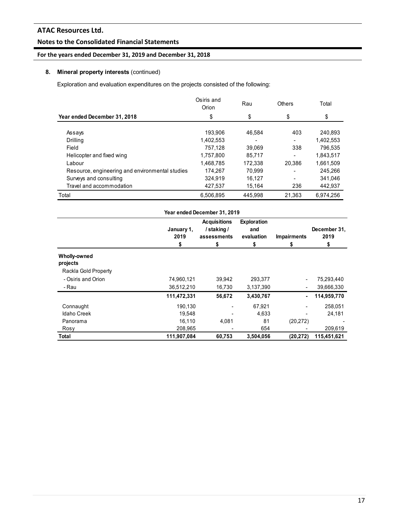# **Notes to the Consolidated Financial Statements**

# **For the years ended December 31, 2019 and December 31, 2018**

# **8. Mineral property interests** (continued)

Exploration and evaluation expenditures on the projects consisted of the following:

|                                                 | Osiris and<br>Orion | Rau     | <b>Others</b>            | Total     |
|-------------------------------------------------|---------------------|---------|--------------------------|-----------|
| Year ended December 31, 2018                    | \$                  | \$      | \$                       | \$        |
| Assays                                          | 193.906             | 46.584  | 403                      | 240,893   |
| Drilling                                        | 1,402,553           |         |                          | 1,402,553 |
| Field                                           | 757.128             | 39,069  | 338                      | 796.535   |
| Helicopter and fixed wing                       | 1.757.800           | 85.717  |                          | 1.843.517 |
| Labour                                          | 1,468,785           | 172,338 | 20.386                   | 1,661,509 |
| Resource, engineering and environmental studies | 174.267             | 70.999  | $\overline{\phantom{0}}$ | 245.266   |
| Surveys and consulting                          | 324.919             | 16.127  |                          | 341.046   |
| Travel and accommodation                        | 427,537             | 15,164  | 236                      | 442,937   |
| Total                                           | 6.506.895           | 445.998 | 21.363                   | 6,974,256 |

|                          |                          | Year ended December 31, 2019                         |                                       |                         |                            |
|--------------------------|--------------------------|------------------------------------------------------|---------------------------------------|-------------------------|----------------------------|
|                          | January 1,<br>2019<br>\$ | <b>Acquisitions</b><br>/staking/<br>assessments<br>S | Exploration<br>and<br>evaluation<br>5 | <b>Impairments</b><br>5 | December 31.<br>2019<br>\$ |
| Wholly-owned<br>projects |                          |                                                      |                                       |                         |                            |
| Rackla Gold Property     |                          |                                                      |                                       |                         |                            |
| - Osiris and Orion       | 74,960,121               | 39,942                                               | 293,377                               | ٠                       | 75,293,440                 |
| - Rau                    | 36,512,210               | 16,730                                               | 3,137,390                             |                         | 39,666,330                 |
|                          | 111,472,331              | 56,672                                               | 3,430,767                             | $\blacksquare$          | 114,959,770                |
| Connaught                | 190,130                  |                                                      | 67,921                                |                         | 258,051                    |
| Idaho Creek              | 19.548                   |                                                      | 4,633                                 |                         | 24,181                     |
| Panorama                 | 16,110                   | 4,081                                                | 81                                    | (20, 272)               |                            |
| Rosy                     | 208,965                  |                                                      | 654                                   |                         | 209,619                    |
| Total                    | 111,907,084              | 60,753                                               | 3,504,056                             | (20, 272)               | 115,451,621                |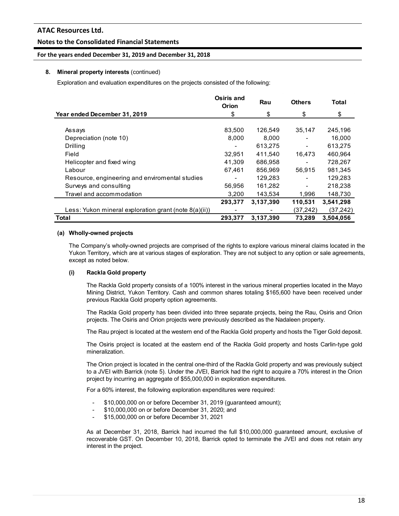# **Notes to the Consolidated Financial Statements**

## **For the years ended December 31, 2019 and December 31, 2018**

## **8. Mineral property interests** (continued)

Exploration and evaluation expenditures on the projects consisted of the following:

|                                                       | Osiris and<br>Orion | Rau       | <b>Others</b> | <b>Total</b> |
|-------------------------------------------------------|---------------------|-----------|---------------|--------------|
| Year ended December 31, 2019                          | \$                  | \$        | \$            | \$           |
|                                                       |                     |           |               |              |
| Assays                                                | 83,500              | 126,549   | 35,147        | 245,196      |
| Depreciation (note 10)                                | 8.000               | 8,000     |               | 16,000       |
| Drilling                                              |                     | 613,275   |               | 613.275      |
| Field                                                 | 32,951              | 411,540   | 16,473        | 460,964      |
| Helicopter and fixed wing                             | 41.309              | 686.958   |               | 728.267      |
| Labour                                                | 67,461              | 856.969   | 56,915        | 981.345      |
| Resource, engineering and enviromental studies        |                     | 129,283   |               | 129,283      |
| Surveys and consulting                                | 56,956              | 161.282   |               | 218.238      |
| Travel and accommodation                              | 3,200               | 143.534   | 1,996         | 148,730      |
|                                                       | 293,377             | 3,137,390 | 110,531       | 3,541,298    |
| Less: Yukon mineral exploration grant (note 8(a)(ii)) |                     |           | (37,242)      | (37,242)     |
| <b>Total</b>                                          | 293,377             | 3,137,390 | 73,289        | 3,504,056    |

## **(a) Wholly-owned projects**

The Company's wholly-owned projects are comprised of the rights to explore various mineral claims located in the Yukon Territory, which are at various stages of exploration. They are not subject to any option or sale agreements, except as noted below.

# **(i) Rackla Gold property**

The Rackla Gold property consists of a 100% interest in the various mineral properties located in the Mayo Mining District, Yukon Territory. Cash and common shares totaling \$165,600 have been received under previous Rackla Gold property option agreements.

The Rackla Gold property has been divided into three separate projects, being the Rau, Osiris and Orion projects. The Osiris and Orion projects were previously described as the Nadaleen property.

The Rau project is located at the western end of the Rackla Gold property and hosts the Tiger Gold deposit.

The Osiris project is located at the eastern end of the Rackla Gold property and hosts Carlin-type gold mineralization.

The Orion project is located in the central one-third of the Rackla Gold property and was previously subject to a JVEI with Barrick (note 5). Under the JVEI, Barrick had the right to acquire a 70% interest in the Orion project by incurring an aggregate of \$55,000,000 in exploration expenditures.

For a 60% interest, the following exploration expenditures were required:

- \$10,000,000 on or before December 31, 2019 (guaranteed amount);
- \$10,000,000 on or before December 31, 2020; and
- \$15,000,000 on or before December 31, 2021

As at December 31, 2018, Barrick had incurred the full \$10,000,000 guaranteed amount, exclusive of recoverable GST. On December 10, 2018, Barrick opted to terminate the JVEI and does not retain any interest in the project.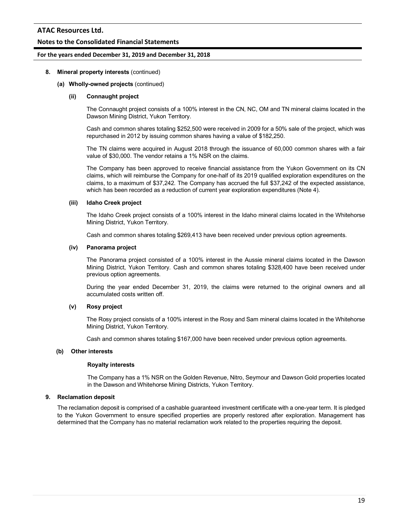## **Notes to the Consolidated Financial Statements**

## **For the years ended December 31, 2019 and December 31, 2018**

#### **8. Mineral property interests** (continued)

#### **(a) Wholly-owned projects** (continued)

#### **(ii) Connaught project**

The Connaught project consists of a 100% interest in the CN, NC, OM and TN mineral claims located in the Dawson Mining District, Yukon Territory.

Cash and common shares totaling \$252,500 were received in 2009 for a 50% sale of the project, which was repurchased in 2012 by issuing common shares having a value of \$182,250.

The TN claims were acquired in August 2018 through the issuance of 60,000 common shares with a fair value of \$30,000. The vendor retains a 1% NSR on the claims.

The Company has been approved to receive financial assistance from the Yukon Government on its CN claims, which will reimburse the Company for one-half of its 2019 qualified exploration expenditures on the claims, to a maximum of \$37,242. The Company has accrued the full \$37,242 of the expected assistance, which has been recorded as a reduction of current year exploration expenditures (Note 4).

#### **(iii) Idaho Creek project**

The Idaho Creek project consists of a 100% interest in the Idaho mineral claims located in the Whitehorse Mining District, Yukon Territory.

Cash and common shares totaling \$269,413 have been received under previous option agreements.

#### **(iv) Panorama project**

The Panorama project consisted of a 100% interest in the Aussie mineral claims located in the Dawson Mining District, Yukon Territory. Cash and common shares totaling \$328,400 have been received under previous option agreements.

During the year ended December 31, 2019, the claims were returned to the original owners and all accumulated costs written off.

## **(v) Rosy project**

The Rosy project consists of a 100% interest in the Rosy and Sam mineral claims located in the Whitehorse Mining District, Yukon Territory.

Cash and common shares totaling \$167,000 have been received under previous option agreements.

## **(b) Other interests**

#### **Royalty interests**

The Company has a 1% NSR on the Golden Revenue, Nitro, Seymour and Dawson Gold properties located in the Dawson and Whitehorse Mining Districts, Yukon Territory.

## **9. Reclamation deposit**

The reclamation deposit is comprised of a cashable guaranteed investment certificate with a one-year term. It is pledged to the Yukon Government to ensure specified properties are properly restored after exploration. Management has determined that the Company has no material reclamation work related to the properties requiring the deposit.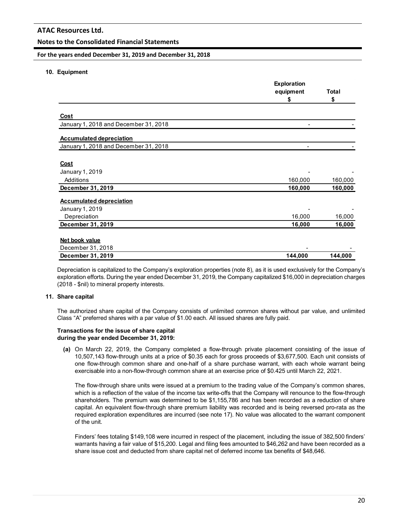## **Notes to the Consolidated Financial Statements**

## **For the years ended December 31, 2019 and December 31, 2018**

## **10. Equipment**

|                                       | <b>Exploration</b> |              |
|---------------------------------------|--------------------|--------------|
|                                       | equipment          | <b>Total</b> |
|                                       | \$                 | \$           |
|                                       |                    |              |
| Cost                                  |                    |              |
| January 1, 2018 and December 31, 2018 |                    |              |
| <b>Accumulated depreciation</b>       |                    |              |
| January 1, 2018 and December 31, 2018 |                    |              |
|                                       |                    |              |
| <b>Cost</b>                           |                    |              |
| January 1, 2019                       |                    |              |
| Additions                             | 160,000            | 160,000      |
| December 31, 2019                     | 160,000            | 160,000      |
| <b>Accumulated depreciation</b>       |                    |              |
| January 1, 2019                       |                    |              |
| Depreciation                          | 16,000             | 16,000       |
| December 31, 2019                     | 16,000             | 16,000       |
|                                       |                    |              |
| Net book value                        |                    |              |
| December 31, 2018                     |                    |              |
| December 31, 2019                     | 144,000            | 144,000      |

Depreciation is capitalized to the Company's exploration properties (note 8), as it is used exclusively for the Company's exploration efforts. During the year ended December 31, 2019, the Company capitalized \$16,000 in depreciation charges (2018 - \$nil) to mineral property interests.

## **11. Share capital**

The authorized share capital of the Company consists of unlimited common shares without par value, and unlimited Class "A" preferred shares with a par value of \$1.00 each. All issued shares are fully paid.

#### **Transactions for the issue of share capital during the year ended December 31, 2019:**

**(a)** On March 22, 2019, the Company completed a flow-through private placement consisting of the issue of 10,507,143 flow-through units at a price of \$0.35 each for gross proceeds of \$3,677,500. Each unit consists of one flow-through common share and one-half of a share purchase warrant, with each whole warrant being exercisable into a non-flow-through common share at an exercise price of \$0.425 until March 22, 2021.

The flow-through share units were issued at a premium to the trading value of the Company's common shares, which is a reflection of the value of the income tax write-offs that the Company will renounce to the flow-through shareholders. The premium was determined to be \$1,155,786 and has been recorded as a reduction of share capital. An equivalent flow-through share premium liability was recorded and is being reversed pro-rata as the required exploration expenditures are incurred (see note 17). No value was allocated to the warrant component of the unit.

Finders' fees totaling \$149,108 were incurred in respect of the placement, including the issue of 382,500 finders' warrants having a fair value of \$15,200. Legal and filing fees amounted to \$46,262 and have been recorded as a share issue cost and deducted from share capital net of deferred income tax benefits of \$48,646.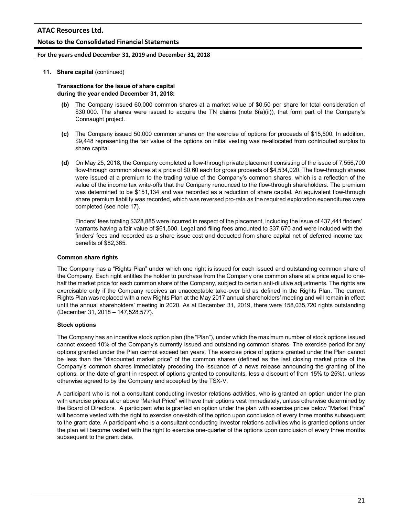## **Notes to the Consolidated Financial Statements**

## **For the years ended December 31, 2019 and December 31, 2018**

## **11. Share capital** (continued)

## **Transactions for the issue of share capital during the year ended December 31, 2018:**

- **(b)** The Company issued 60,000 common shares at a market value of \$0.50 per share for total consideration of \$30,000. The shares were issued to acquire the TN claims (note 8(a)(ii)), that form part of the Company's Connaught project.
- **(c)** The Company issued 50,000 common shares on the exercise of options for proceeds of \$15,500. In addition, \$9,448 representing the fair value of the options on initial vesting was re-allocated from contributed surplus to share capital.
- **(d)** On May 25, 2018, the Company completed a flow-through private placement consisting of the issue of 7,556,700 flow-through common shares at a price of \$0.60 each for gross proceeds of \$4,534,020. The flow-through shares were issued at a premium to the trading value of the Company's common shares, which is a reflection of the value of the income tax write-offs that the Company renounced to the flow-through shareholders. The premium was determined to be \$151,134 and was recorded as a reduction of share capital. An equivalent flow-through share premium liability was recorded, which was reversed pro-rata as the required exploration expenditures were completed (see note 17).

Finders' fees totaling \$328,885 were incurred in respect of the placement, including the issue of 437,441 finders' warrants having a fair value of \$61,500. Legal and filing fees amounted to \$37,670 and were included with the finders' fees and recorded as a share issue cost and deducted from share capital net of deferred income tax benefits of \$82,365.

## **Common share rights**

The Company has a "Rights Plan" under which one right is issued for each issued and outstanding common share of the Company. Each right entitles the holder to purchase from the Company one common share at a price equal to onehalf the market price for each common share of the Company, subject to certain anti-dilutive adjustments. The rights are exercisable only if the Company receives an unacceptable take-over bid as defined in the Rights Plan. The current Rights Plan was replaced with a new Rights Plan at the May 2017 annual shareholders' meeting and will remain in effect until the annual shareholders' meeting in 2020. As at December 31, 2019, there were 158,035,720 rights outstanding (December 31, 2018 – 147,528,577).

# **Stock options**

The Company has an incentive stock option plan (the "Plan"), under which the maximum number of stock options issued cannot exceed 10% of the Company's currently issued and outstanding common shares. The exercise period for any options granted under the Plan cannot exceed ten years. The exercise price of options granted under the Plan cannot be less than the "discounted market price" of the common shares (defined as the last closing market price of the Company's common shares immediately preceding the issuance of a news release announcing the granting of the options, or the date of grant in respect of options granted to consultants, less a discount of from 15% to 25%), unless otherwise agreed to by the Company and accepted by the TSX-V.

A participant who is not a consultant conducting investor relations activities, who is granted an option under the plan with exercise prices at or above "Market Price" will have their options vest immediately, unless otherwise determined by the Board of Directors. A participant who is granted an option under the plan with exercise prices below "Market Price" will become vested with the right to exercise one-sixth of the option upon conclusion of every three months subsequent to the grant date. A participant who is a consultant conducting investor relations activities who is granted options under the plan will become vested with the right to exercise one-quarter of the options upon conclusion of every three months subsequent to the grant date.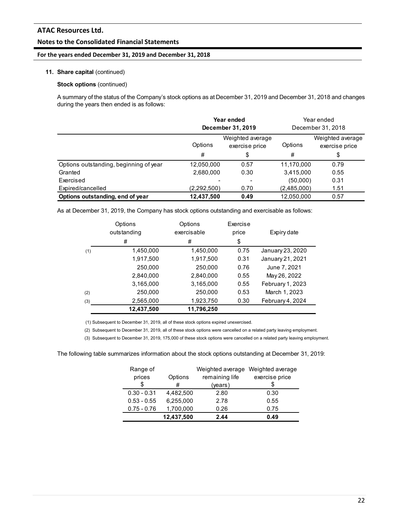## **Notes to the Consolidated Financial Statements**

## **For the years ended December 31, 2019 and December 31, 2018**

## **11. Share capital** (continued)

## **Stock options** (continued)

A summary of the status of the Company's stock options as at December 31, 2019 and December 31, 2018 and changes during the years then ended is as follows:

|                                        | Year ended<br>December 31, 2019               |      | Year ended<br>December 31, 2018 |                                    |
|----------------------------------------|-----------------------------------------------|------|---------------------------------|------------------------------------|
|                                        | Weighted average<br>Options<br>exercise price |      | Options                         | Weighted average<br>exercise price |
|                                        | #                                             | \$   | #                               | \$                                 |
| Options outstanding, beginning of year | 12,050,000                                    | 0.57 | 11,170,000                      | 0.79                               |
| Granted                                | 2,680,000                                     | 0.30 | 3,415,000                       | 0.55                               |
| Exercised                              |                                               |      | (50,000)                        | 0.31                               |
| Expired/cancelled                      | (2,292,500)                                   | 0.70 | (2,485,000)                     | 1.51                               |
| Options outstanding, end of year       | 12,437,500                                    | 0.49 | 12,050,000                      | 0.57                               |

As at December 31, 2019, the Company has stock options outstanding and exercisable as follows:

|     | Options<br>outstanding | Options<br>exercisable | Exercise<br>price | Expiry date      |
|-----|------------------------|------------------------|-------------------|------------------|
|     | #                      | #                      | \$                |                  |
| (1) | 1,450,000              | 1,450,000              | 0.75              | January 23, 2020 |
|     | 1,917,500              | 1,917,500              | 0.31              | January 21, 2021 |
|     | 250,000                | 250,000                | 0.76              | June 7, 2021     |
|     | 2,840,000              | 2,840,000              | 0.55              | May 26, 2022     |
|     | 3,165,000              | 3,165,000              | 0.55              | February 1, 2023 |
| (2) | 250,000                | 250,000                | 0.53              | March 1, 2023    |
| (3) | 2,565,000              | 1,923,750              | 0.30              | February 4, 2024 |
|     | 12,437,500             | 11,796,250             |                   |                  |

(1) Subsequent to December 31, 2019, all of these stock options expired unexercised.

(2) Subsequent to December 31, 2019, all of these stock options were cancelled on a related party leaving employment.

(3) Subsequent to December 31, 2019, 175,000 of these stock options were cancelled on a related party leaving employment.

The following table summarizes information about the stock options outstanding at December 31, 2019:

| Range of      |            | Weighted average | Weighted average |
|---------------|------------|------------------|------------------|
| prices        | Options    | remaining life   | exercise price   |
| \$            | #          | (years)          |                  |
| $0.30 - 0.31$ | 4.482.500  | 2.80             | 0.30             |
| $0.53 - 0.55$ | 6,255,000  | 2.78             | 0.55             |
| $0.75 - 0.76$ | 1,700,000  | 0.26             | 0.75             |
|               | 12,437,500 | 2.44             | 0.49             |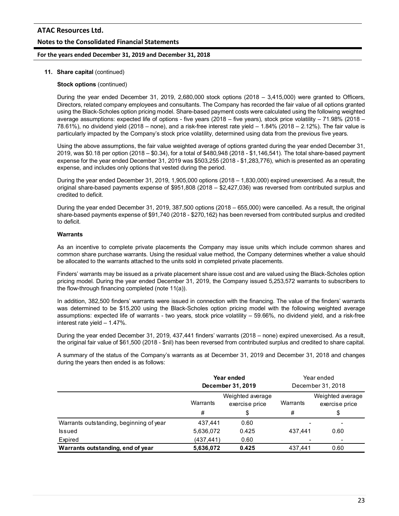## **Notes to the Consolidated Financial Statements**

## **For the years ended December 31, 2019 and December 31, 2018**

## **11. Share capital** (continued)

## **Stock options** (continued)

During the year ended December 31, 2019, 2,680,000 stock options (2018 – 3,415,000) were granted to Officers, Directors, related company employees and consultants. The Company has recorded the fair value of all options granted using the Black-Scholes option pricing model. Share-based payment costs were calculated using the following weighted average assumptions: expected life of options - five years (2018 – five years), stock price volatility – 71.98% (2018 – 78.61%), no dividend yield (2018 – none), and a risk-free interest rate yield – 1.84% (2018 – 2.12%). The fair value is particularly impacted by the Company's stock price volatility, determined using data from the previous five years.

Using the above assumptions, the fair value weighted average of options granted during the year ended December 31, 2019, was \$0.18 per option (2018 – \$0.34), for a total of \$480,948 (2018 - \$1,146,541). The total share-based payment expense for the year ended December 31, 2019 was \$503,255 (2018 - \$1,283,776), which is presented as an operating expense, and includes only options that vested during the period.

During the year ended December 31, 2019, 1,905,000 options (2018 – 1,830,000) expired unexercised. As a result, the original share-based payments expense of \$951,808 (2018 – \$2,427,036) was reversed from contributed surplus and credited to deficit.

During the year ended December 31, 2019, 387,500 options (2018 – 655,000) were cancelled. As a result, the original share-based payments expense of \$91,740 (2018 - \$270,162) has been reversed from contributed surplus and credited to deficit.

## **Warrants**

As an incentive to complete private placements the Company may issue units which include common shares and common share purchase warrants. Using the residual value method, the Company determines whether a value should be allocated to the warrants attached to the units sold in completed private placements.

Finders' warrants may be issued as a private placement share issue cost and are valued using the Black-Scholes option pricing model. During the year ended December 31, 2019, the Company issued 5,253,572 warrants to subscribers to the flow-through financing completed (note 11(a)).

In addition, 382,500 finders' warrants were issued in connection with the financing. The value of the finders' warrants was determined to be \$15,200 using the Black-Scholes option pricing model with the following weighted average assumptions: expected life of warrants - two years, stock price volatility – 59.66%, no dividend yield, and a risk-free interest rate yield – 1.47%.

During the year ended December 31, 2019, 437,441 finders' warrants (2018 – none) expired unexercised. As a result, the original fair value of \$61,500 (2018 - \$nil) has been reversed from contributed surplus and credited to share capital.

A summary of the status of the Company's warrants as at December 31, 2019 and December 31, 2018 and changes during the years then ended is as follows:

|                                         | Year ended<br>December 31, 2019                |       | Year ended<br>December 31, 2018 |      |          |  |
|-----------------------------------------|------------------------------------------------|-------|---------------------------------|------|----------|--|
|                                         | Weighted average<br>Warrants<br>exercise price |       |                                 |      | Warrants |  |
|                                         | #                                              | \$    | #                               | \$   |          |  |
| Warrants outstanding, beginning of year | 437,441                                        | 0.60  |                                 |      |          |  |
| <b>Issued</b>                           | 5,636,072                                      | 0.425 | 437.441                         | 0.60 |          |  |
| Expired                                 | (437,441)                                      | 0.60  |                                 |      |          |  |
| Warrants outstanding, end of year       | 5,636,072                                      | 0.425 | 437.441                         | 0.60 |          |  |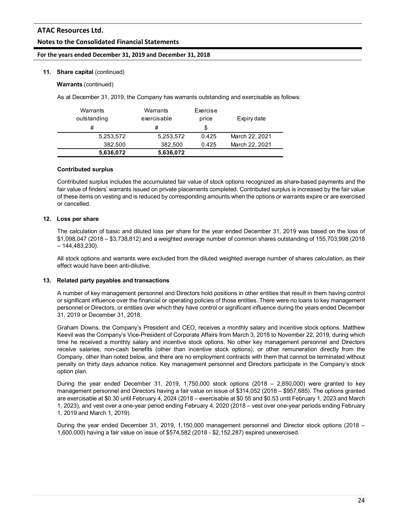## **Notes to the Consolidated Financial Statements**

## **For the years ended December 31, 2019 and December 31, 2018**

## **11. Share capital** (continued)

## **Warrants** (continued)

As at December 31, 2019, the Company has warrants outstanding and exercisable as follows:

| Warrants<br>outstanding | Warrants<br>exercisable | Exercise<br>price | Expiry date    |
|-------------------------|-------------------------|-------------------|----------------|
| #                       | #                       | S                 |                |
| 5,253,572               | 5,253,572               | 0.425             | March 22, 2021 |
| 382.500                 | 382.500                 | 0.425             | March 22, 2021 |
| 5,636,072               | 5,636,072               |                   |                |

#### **Contributed surplus**

Contributed surplus includes the accumulated fair value of stock options recognized as share-based payments and the fair value of finders' warrants issued on private placements completed. Contributed surplus is increased by the fair value of these items on vesting and is reduced by corresponding amounts when the options or warrants expire or are exercised or cancelled.

## **12. Loss per share**

The calculation of basic and diluted loss per share for the year ended December 31, 2019 was based on the loss of \$1,098,047 (2018 – \$3,738,812) and a weighted average number of common shares outstanding of 155,703,998 (2018 – 144,483,230).

All stock options and warrants were excluded from the diluted weighted average number of shares calculation, as their effect would have been anti-dilutive.

## **13. Related party payables and transactions**

A number of key management personnel and Directors hold positions in other entities that result in them having control or significant influence over the financial or operating policies of those entities. There were no loans to key management personnel or Directors, or entities over which they have control or significant influence during the years ended December 31, 2019 or December 31, 2018.

Graham Downs, the Company's President and CEO, receives a monthly salary and incentive stock options. Matthew Keevil was the Company's Vice-President of Corporate Affairs from March 3, 2018 to November 22, 2019, during which time he received a monthly salary and incentive stock options. No other key management personnel and Directors receive salaries, non-cash benefits (other than incentive stock options), or other remuneration directly from the Company, other than noted below, and there are no employment contracts with them that cannot be terminated without penalty on thirty days advance notice. Key management personnel and Directors participate in the Company's stock option plan.

During the year ended December 31, 2019, 1,750,000 stock options (2018 – 2,850,000) were granted to key management personnel and Directors having a fair value on issue of \$314,052 (2018 – \$957,685). The options granted are exercisable at \$0.30 until February 4, 2024 (2018 – exercisable at \$0.55 and \$0.53 until February 1, 2023 and March 1, 2023), and vest over a one-year period ending February 4, 2020 (2018 – vest over one-year periods ending February 1, 2019 and March 1, 2019).

During the year ended December 31, 2019, 1,150,000 management personnel and Director stock options (2018 – 1,600,000) having a fair value on issue of \$574,582 (2018 - \$2,152,287) expired unexercised.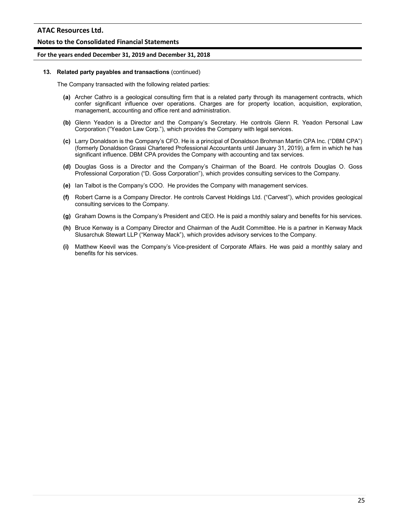## **Notes to the Consolidated Financial Statements**

### **For the years ended December 31, 2019 and December 31, 2018**

#### **13. Related party payables and transactions** (continued)

The Company transacted with the following related parties:

- **(a)** Archer Cathro is a geological consulting firm that is a related party through its management contracts, which confer significant influence over operations. Charges are for property location, acquisition, exploration, management, accounting and office rent and administration.
- **(b)** Glenn Yeadon is a Director and the Company's Secretary. He controls Glenn R. Yeadon Personal Law Corporation ("Yeadon Law Corp."), which provides the Company with legal services.
- **(c)** Larry Donaldson is the Company's CFO. He is a principal of Donaldson Brohman Martin CPA Inc. ("DBM CPA") (formerly Donaldson Grassi Chartered Professional Accountants until January 31, 2019), a firm in which he has significant influence. DBM CPA provides the Company with accounting and tax services.
- **(d)** Douglas Goss is a Director and the Company's Chairman of the Board. He controls Douglas O. Goss Professional Corporation ("D. Goss Corporation"), which provides consulting services to the Company.
- **(e)** Ian Talbot is the Company's COO. He provides the Company with management services.
- **(f)** Robert Carne is a Company Director. He controls Carvest Holdings Ltd. ("Carvest"), which provides geological consulting services to the Company.
- **(g)** Graham Downs is the Company's President and CEO. He is paid a monthly salary and benefits for his services.
- **(h)** Bruce Kenway is a Company Director and Chairman of the Audit Committee. He is a partner in Kenway Mack Slusarchuk Stewart LLP ("Kenway Mack"), which provides advisory services to the Company.
- **(i)** Matthew Keevil was the Company's Vice-president of Corporate Affairs. He was paid a monthly salary and benefits for his services.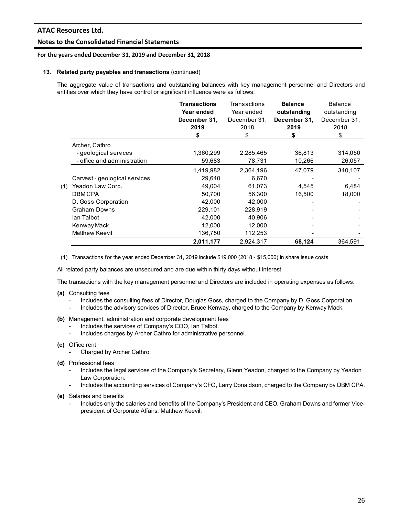## **Notes to the Consolidated Financial Statements**

## **For the years ended December 31, 2019 and December 31, 2018**

## **13. Related party payables and transactions** (continued)

The aggregate value of transactions and outstanding balances with key management personnel and Directors and entities over which they have control or significant influence were as follows:

|     |                               | <b>Transactions</b><br>Year ended<br>December 31, | Transactions<br>Year ended<br>December 31, | <b>Balance</b><br>outstanding<br>December 31, | <b>Balance</b><br>outstanding<br>December 31, |
|-----|-------------------------------|---------------------------------------------------|--------------------------------------------|-----------------------------------------------|-----------------------------------------------|
|     |                               | 2019                                              | 2018                                       | 2019                                          | 2018                                          |
|     |                               | S                                                 | \$                                         | S                                             | \$                                            |
|     | Archer, Cathro                |                                                   |                                            |                                               |                                               |
|     | - geological services         | 1,360,299                                         | 2,285,465                                  | 36,813                                        | 314,050                                       |
|     | - office and administration   | 59,683                                            | 78,731                                     | 10,266                                        | 26,057                                        |
|     |                               | 1,419,982                                         | 2,364,196                                  | 47,079                                        | 340,107                                       |
|     | Carvest - geological services | 29,640                                            | 6,670                                      |                                               |                                               |
| (1) | Yeadon Law Corp.              | 49,004                                            | 61,073                                     | 4,545                                         | 6,484                                         |
|     | <b>DBMCPA</b>                 | 50,700                                            | 56,300                                     | 16,500                                        | 18,000                                        |
|     | D. Goss Corporation           | 42.000                                            | 42,000                                     |                                               |                                               |
|     | <b>Graham Downs</b>           | 229,101                                           | 228,919                                    |                                               |                                               |
|     | lan Talbot                    | 42,000                                            | 40,906                                     |                                               |                                               |
|     | Kenway Mack                   | 12,000                                            | 12,000                                     |                                               |                                               |
|     | Matthew Keevil                | 136,750                                           | 112,253                                    |                                               |                                               |
|     |                               | 2,011,177                                         | 2,924,317                                  | 68,124                                        | 364,591                                       |

(1) Transactions for the year ended December 31, 2019 include \$19,000 (2018 - \$15,000) in share issue costs

All related party balances are unsecured and are due within thirty days without interest.

The transactions with the key management personnel and Directors are included in operating expenses as follows:

- **(a)** Consulting fees
	- Includes the consulting fees of Director, Douglas Goss, charged to the Company by D. Goss Corporation.
	- Includes the advisory services of Director, Bruce Kenway, charged to the Company by Kenway Mack.
- **(b)** Management, administration and corporate development fees
	- Includes the services of Company's COO, Ian Talbot.
	- Includes charges by Archer Cathro for administrative personnel.
- **(c)** Office rent
	- Charged by Archer Cathro.
- **(d)** Professional fees
	- Includes the legal services of the Company's Secretary, Glenn Yeadon, charged to the Company by Yeadon Law Corporation.
	- Includes the accounting services of Company's CFO, Larry Donaldson, charged to the Company by DBM CPA.
- **(e)** Salaries and benefits
	- Includes only the salaries and benefits of the Company's President and CEO, Graham Downs and former Vicepresident of Corporate Affairs, Matthew Keevil.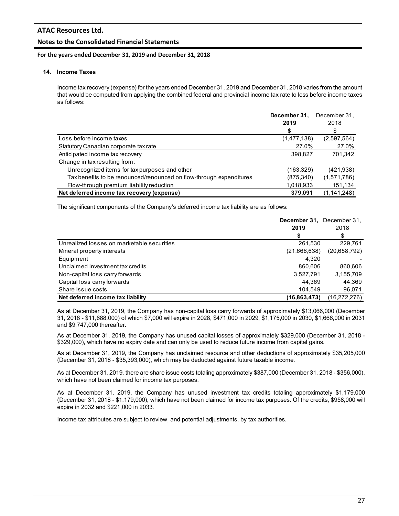## **Notes to the Consolidated Financial Statements**

## **For the years ended December 31, 2019 and December 31, 2018**

## **14. Income Taxes**

Income tax recovery (expense) for the years ended December 31, 2019 and December 31, 2018 varies from the amount that would be computed from applying the combined federal and provincial income tax rate to loss before income taxes as follows:

|                                                                     | December 31.<br>2019 | December 31,<br>2018 |
|---------------------------------------------------------------------|----------------------|----------------------|
|                                                                     | S                    | S                    |
| Loss before income taxes                                            | (1,477,138)          | (2,597,564)          |
| Statutory Canadian corporate tax rate                               | 27.0%                | 27.0%                |
| Anticipated income tax recovery                                     | 398,827              | 701,342              |
| Change in tax resulting from:                                       |                      |                      |
| Unrecognized items for tax purposes and other                       | (163, 329)           | (421, 938)           |
| Tax benefits to be renounced/renounced on flow-through expenditures | (875, 340)           | (1,571,786)          |
| Flow-through premium liability reduction                            | 1,018,933            | 151,134              |
| Net deferred income tax recovery (expense)                          | 379,091              | (1,141,248)          |

The significant components of the Company's deferred income tax liability are as follows:

|                                            | December 31,<br>2019 | December 31,<br>2018<br>\$ |
|--------------------------------------------|----------------------|----------------------------|
| Unrealized losses on marketable securities | 261,530              | 229,761                    |
| Mineral property interests                 | (21,666,638)         | (20,658,792)               |
| Equipment                                  | 4,320                |                            |
| Unclaimed investment tax credits           | 860,606              | 860,606                    |
| Non-capital loss carry forwards            | 3,527,791            | 3,155,709                  |
| Capital loss carry forwards                | 44.369               | 44,369                     |
| Share issue costs                          | 104.549              | 96,071                     |
| Net deferred income tax liability          | (16,863,473)         | (16,272,276)               |

As at December 31, 2019, the Company has non-capital loss carry forwards of approximately \$13,066,000 (December 31, 2018 - \$11,688,000) of which \$7,000 will expire in 2028, \$471,000 in 2029, \$1,175,000 in 2030, \$1,666,000 in 2031 and \$9,747,000 thereafter.

As at December 31, 2019, the Company has unused capital losses of approximately \$329,000 (December 31, 2018 - \$329,000), which have no expiry date and can only be used to reduce future income from capital gains.

As at December 31, 2019, the Company has unclaimed resource and other deductions of approximately \$35,205,000 (December 31, 2018 - \$35,393,000), which may be deducted against future taxable income.

As at December 31, 2019, there are share issue costs totaling approximately \$387,000 (December 31, 2018 - \$356,000), which have not been claimed for income tax purposes.

As at December 31, 2019, the Company has unused investment tax credits totaling approximately \$1,179,000 (December 31, 2018 - \$1,179,000), which have not been claimed for income tax purposes. Of the credits, \$958,000 will expire in 2032 and \$221,000 in 2033.

Income tax attributes are subject to review, and potential adjustments, by tax authorities.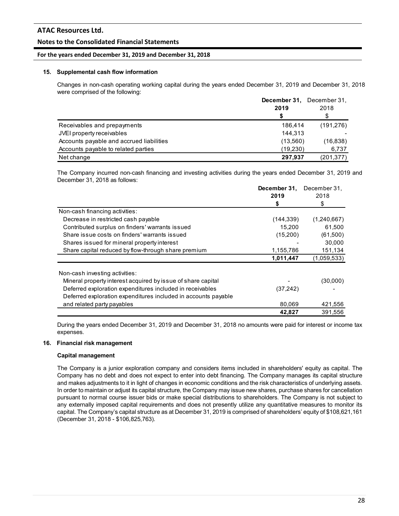## **Notes to the Consolidated Financial Statements**

## **For the years ended December 31, 2019 and December 31, 2018**

#### **15. Supplemental cash flow information**

Changes in non-cash operating working capital during the years ended December 31, 2019 and December 31, 2018 were comprised of the following:

|                                          | December 31,<br>2019 | December 31.<br>2018 |
|------------------------------------------|----------------------|----------------------|
|                                          |                      | S                    |
| Receivables and prepayments              | 186.414              | (191, 276)           |
| JVEI property receivables                | 144,313              |                      |
| Accounts payable and accrued liabilities | (13,560)             | (16,838)             |
| Accounts payable to related parties      | (19,230)             | 6,737                |
| Net change                               | 297,937              | (201,377)            |

The Company incurred non-cash financing and investing activities during the years ended December 31, 2019 and December 31, 2018 as follows:

|                                                                | December 31, | December 31, |
|----------------------------------------------------------------|--------------|--------------|
|                                                                | 2019         | 2018         |
|                                                                | \$           | \$           |
| Non-cash financing activities:                                 |              |              |
| Decrease in restricted cash payable                            | (144, 339)   | (1,240,667)  |
| Contributed surplus on finders' warrants issued                | 15,200       | 61,500       |
| Share issue costs on finders' warrants issued                  | (15,200)     | (61,500)     |
| Shares issued for mineral property interest                    |              | 30,000       |
| Share capital reduced by flow-through share premium            | 1,155,786    | 151,134      |
|                                                                | 1,011,447    | (1,059,533)  |
| Non-cash investing activities:                                 |              |              |
| Mineral property interest acquired by issue of share capital   |              | (30,000)     |
| Deferred exploration expenditures included in receivables      | (37,242)     |              |
| Deferred exploration expenditures included in accounts payable |              |              |
| and related party payables                                     | 80,069       | 421,556      |
|                                                                | 42,827       | 391,556      |

During the years ended December 31, 2019 and December 31, 2018 no amounts were paid for interest or income tax expenses.

## **16. Financial risk management**

## **Capital management**

The Company is a junior exploration company and considers items included in shareholders' equity as capital. The Company has no debt and does not expect to enter into debt financing. The Company manages its capital structure and makes adjustments to it in light of changes in economic conditions and the risk characteristics of underlying assets. In order to maintain or adjust its capital structure, the Company may issue new shares, purchase shares for cancellation pursuant to normal course issuer bids or make special distributions to shareholders. The Company is not subject to any externally imposed capital requirements and does not presently utilize any quantitative measures to monitor its capital. The Company's capital structure as at December 31, 2019 is comprised of shareholders' equity of \$108,621,161 (December 31, 2018 - \$106,825,763).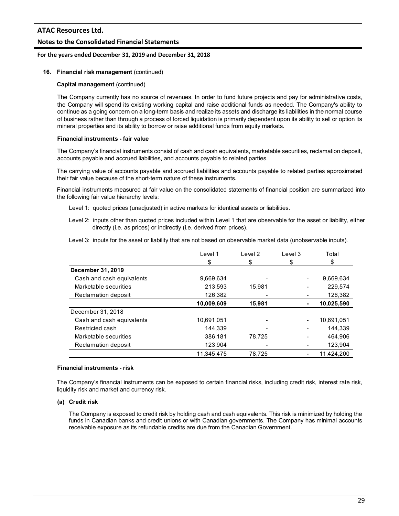## **Notes to the Consolidated Financial Statements**

## **For the years ended December 31, 2019 and December 31, 2018**

## **16. Financial risk management** (continued)

#### **Capital management** (continued)

The Company currently has no source of revenues. In order to fund future projects and pay for administrative costs, the Company will spend its existing working capital and raise additional funds as needed. The Company's ability to continue as a going concern on a long-term basis and realize its assets and discharge its liabilities in the normal course of business rather than through a process of forced liquidation is primarily dependent upon its ability to sell or option its mineral properties and its ability to borrow or raise additional funds from equity markets.

#### **Financial instruments - fair value**

The Company's financial instruments consist of cash and cash equivalents, marketable securities, reclamation deposit, accounts payable and accrued liabilities, and accounts payable to related parties.

The carrying value of accounts payable and accrued liabilities and accounts payable to related parties approximated their fair value because of the short-term nature of these instruments.

Financial instruments measured at fair value on the consolidated statements of financial position are summarized into the following fair value hierarchy levels:

- Level 1: quoted prices (unadjusted) in active markets for identical assets or liabilities.
- Level 2: inputs other than quoted prices included within Level 1 that are observable for the asset or liability, either directly (i.e. as prices) or indirectly (i.e. derived from prices).
- Level 3: inputs for the asset or liability that are not based on observable market data (unobservable inputs).

|                           | Level 1    | Level 2 | Level 3 | Total      |
|---------------------------|------------|---------|---------|------------|
|                           | \$         | \$      | \$      | \$         |
| December 31, 2019         |            |         |         |            |
| Cash and cash equivalents | 9,669,634  |         |         | 9,669,634  |
| Marketable securities     | 213,593    | 15.981  |         | 229.574    |
| Reclamation deposit       | 126,382    |         |         | 126,382    |
|                           | 10,009,609 | 15,981  |         | 10,025,590 |
| December 31, 2018         |            |         |         |            |
| Cash and cash equivalents | 10,691,051 |         |         | 10,691,051 |
| Restricted cash           | 144.339    |         |         | 144.339    |
| Marketable securities     | 386,181    | 78.725  |         | 464.906    |
| Reclamation deposit       | 123,904    |         |         | 123,904    |
|                           | 11.345.475 | 78.725  |         | 11.424.200 |

#### **Financial instruments - risk**

The Company's financial instruments can be exposed to certain financial risks, including credit risk, interest rate risk, liquidity risk and market and currency risk.

#### **(a) Credit risk**

The Company is exposed to credit risk by holding cash and cash equivalents. This risk is minimized by holding the funds in Canadian banks and credit unions or with Canadian governments. The Company has minimal accounts receivable exposure as its refundable credits are due from the Canadian Government.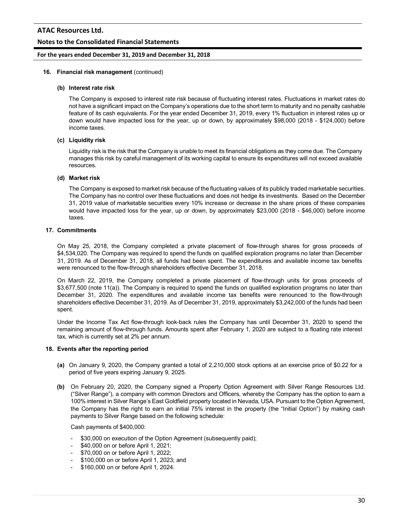## **Notes to the Consolidated Financial Statements**

## **For the years ended December 31, 2019 and December 31, 2018**

#### **16. Financial risk management** (continued)

#### **(b) Interest rate risk**

The Company is exposed to interest rate risk because of fluctuating interest rates. Fluctuations in market rates do not have a significant impact on the Company's operations due to the short term to maturity and no penalty cashable feature of its cash equivalents. For the year ended December 31, 2019, every 1% fluctuation in interest rates up or down would have impacted loss for the year, up or down, by approximately \$98,000 (2018 - \$124,000) before income taxes.

## **(c) Liquidity risk**

Liquidity risk is the risk that the Company is unable to meet its financial obligations as they come due. The Company manages this risk by careful management of its working capital to ensure its expenditures will not exceed available resources.

#### **(d) Market risk**

The Company is exposed to market risk because of the fluctuating values of its publicly traded marketable securities. The Company has no control over these fluctuations and does not hedge its investments. Based on the December 31, 2019 value of marketable securities every 10% increase or decrease in the share prices of these companies would have impacted loss for the year, up or down, by approximately \$23,000 (2018 - \$46,000) before income taxes.

## **17. Commitments**

On May 25, 2018, the Company completed a private placement of flow-through shares for gross proceeds of \$4,534,020. The Company was required to spend the funds on qualified exploration programs no later than December 31, 2019. As of December 31, 2018, all funds had been spent. The expenditures and available income tax benefits were renounced to the flow-through shareholders effective December 31, 2018.

On March 22, 2019, the Company completed a private placement of flow-through units for gross proceeds of \$3,677,500 (note 11(a)). The Company is required to spend the funds on qualified exploration programs no later than December 31, 2020. The expenditures and available income tax benefits were renounced to the flow-through shareholders effective December 31, 2019. As of December 31, 2019, approximately \$3,242,000 of the funds had been spent.

Under the Income Tax Act flow-through look-back rules the Company has until December 31, 2020 to spend the remaining amount of flow-through funds. Amounts spent after February 1, 2020 are subject to a floating rate interest tax, which is currently set at 2% per annum.

## **18. Events after the reporting period**

- **(a)** On January 9, 2020, the Company granted a total of 2,210,000 stock options at an exercise price of \$0.22 for a period of five years expiring January 9, 2025.
- **(b)** On February 20, 2020, the Company signed a Property Option Agreement with Silver Range Resources Ltd. ("Silver Range"), a company with common Directors and Officers, whereby the Company has the option to earn a 100% interest in Silver Range's East Goldfield property located in Nevada, USA. Pursuant to the Option Agreement, the Company has the right to earn an initial 75% interest in the property (the "Initial Option") by making cash payments to Silver Range based on the following schedule:

Cash payments of \$400,000:

- \$30,000 on execution of the Option Agreement (subsequently paid);
- \$40,000 on or before April 1, 2021;
- \$70,000 on or before April 1, 2022;
- \$100,000 on or before April 1, 2023; and
- \$160,000 on or before April 1, 2024.